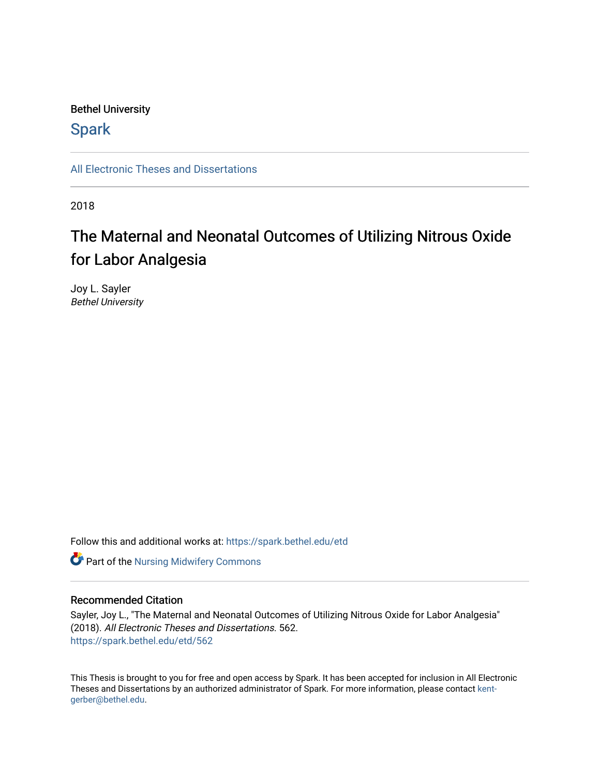#### Bethel University

## **Spark**

[All Electronic Theses and Dissertations](https://spark.bethel.edu/etd) 

2018

## The Maternal and Neonatal Outcomes of Utilizing Nitrous Oxide for Labor Analgesia

Joy L. Sayler Bethel University

Follow this and additional works at: [https://spark.bethel.edu/etd](https://spark.bethel.edu/etd?utm_source=spark.bethel.edu%2Fetd%2F562&utm_medium=PDF&utm_campaign=PDFCoverPages)

**Part of the Nursing Midwifery Commons** 

#### Recommended Citation

Sayler, Joy L., "The Maternal and Neonatal Outcomes of Utilizing Nitrous Oxide for Labor Analgesia" (2018). All Electronic Theses and Dissertations. 562. [https://spark.bethel.edu/etd/562](https://spark.bethel.edu/etd/562?utm_source=spark.bethel.edu%2Fetd%2F562&utm_medium=PDF&utm_campaign=PDFCoverPages)

This Thesis is brought to you for free and open access by Spark. It has been accepted for inclusion in All Electronic Theses and Dissertations by an authorized administrator of Spark. For more information, please contact [kent](mailto:kent-gerber@bethel.edu)[gerber@bethel.edu.](mailto:kent-gerber@bethel.edu)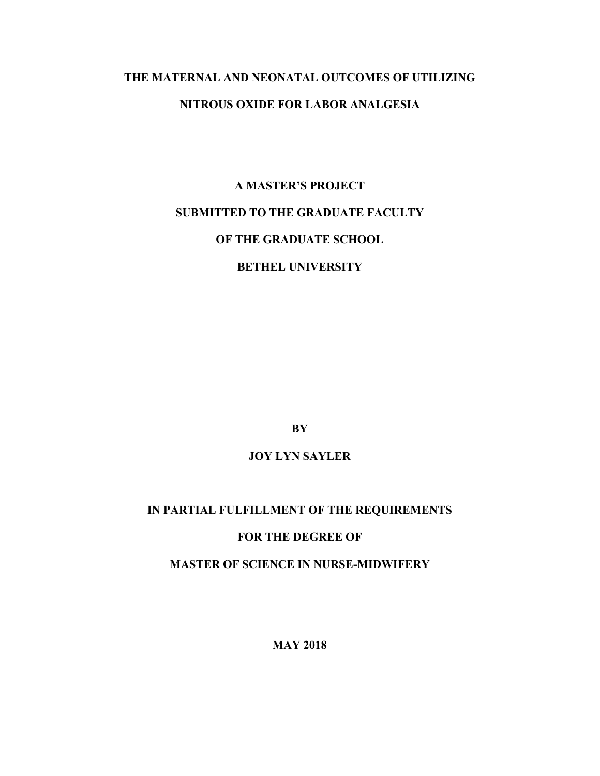## **THE MATERNAL AND NEONATAL OUTCOMES OF UTILIZING NITROUS OXIDE FOR LABOR ANALGESIA**

# **A MASTER'S PROJECT SUBMITTED TO THE GRADUATE FACULTY OF THE GRADUATE SCHOOL BETHEL UNIVERSITY**

**BY**

### **JOY LYN SAYLER**

### **IN PARTIAL FULFILLMENT OF THE REQUIREMENTS**

#### **FOR THE DEGREE OF**

**MASTER OF SCIENCE IN NURSE-MIDWIFERY**

**MAY 2018**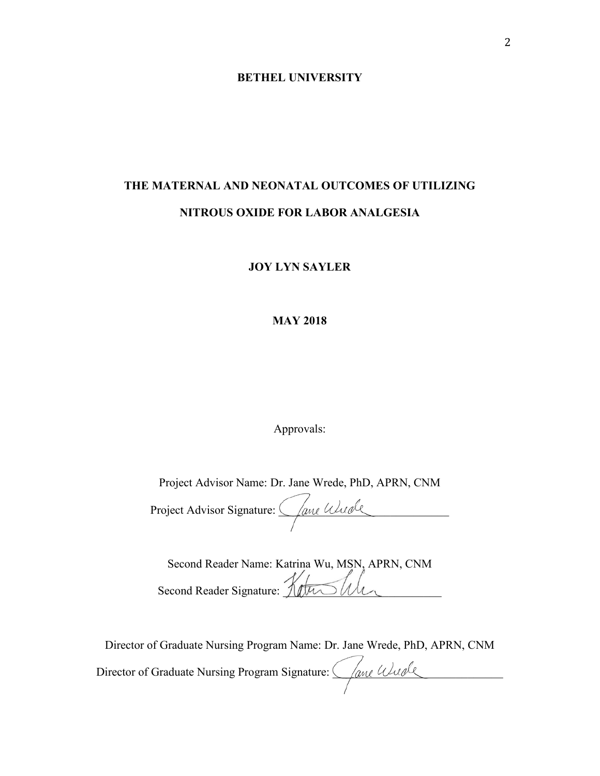#### **BETHEL UNIVERSITY**

## **THE MATERNAL AND NEONATAL OUTCOMES OF UTILIZING NITROUS OXIDE FOR LABOR ANALGESIA**

#### **JOY LYN SAYLER**

#### **MAY 2018**

Approvals:

Project Advisor Name: Dr. Jane Wrede, PhD, APRN, CNM

| Project Advisor Signature: ( <i>Jane Wurde</i> |  |
|------------------------------------------------|--|
|                                                |  |

| Second Reader Name: Katrina Wu, MSN, APRN, CNM |  |
|------------------------------------------------|--|
| Second Reader Signature: Ketu Suler            |  |
|                                                |  |

Director of Graduate Nursing Program Name: Dr. Jane Wrede, PhD, APRN, CNM Director of Graduate Nursing Program Signature: *\_\_\_\_\_\_\_\_\_\_\_\_\_\_\_\_\_\_\_\_\_\_\_\_\_\_\_\_\_\_\_\_*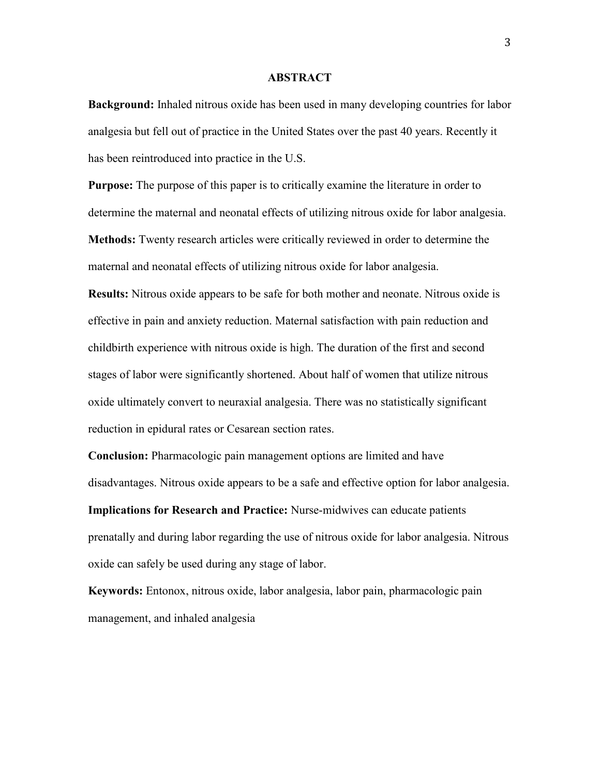#### **ABSTRACT**

**Background:** Inhaled nitrous oxide has been used in many developing countries for labor analgesia but fell out of practice in the United States over the past 40 years. Recently it has been reintroduced into practice in the U.S.

**Purpose:** The purpose of this paper is to critically examine the literature in order to determine the maternal and neonatal effects of utilizing nitrous oxide for labor analgesia. **Methods:** Twenty research articles were critically reviewed in order to determine the maternal and neonatal effects of utilizing nitrous oxide for labor analgesia.

**Results:** Nitrous oxide appears to be safe for both mother and neonate. Nitrous oxide is effective in pain and anxiety reduction. Maternal satisfaction with pain reduction and childbirth experience with nitrous oxide is high. The duration of the first and second stages of labor were significantly shortened. About half of women that utilize nitrous oxide ultimately convert to neuraxial analgesia. There was no statistically significant reduction in epidural rates or Cesarean section rates.

**Conclusion:** Pharmacologic pain management options are limited and have disadvantages. Nitrous oxide appears to be a safe and effective option for labor analgesia. **Implications for Research and Practice:** Nurse-midwives can educate patients prenatally and during labor regarding the use of nitrous oxide for labor analgesia. Nitrous oxide can safely be used during any stage of labor.

**Keywords:** Entonox, nitrous oxide, labor analgesia, labor pain, pharmacologic pain management, and inhaled analgesia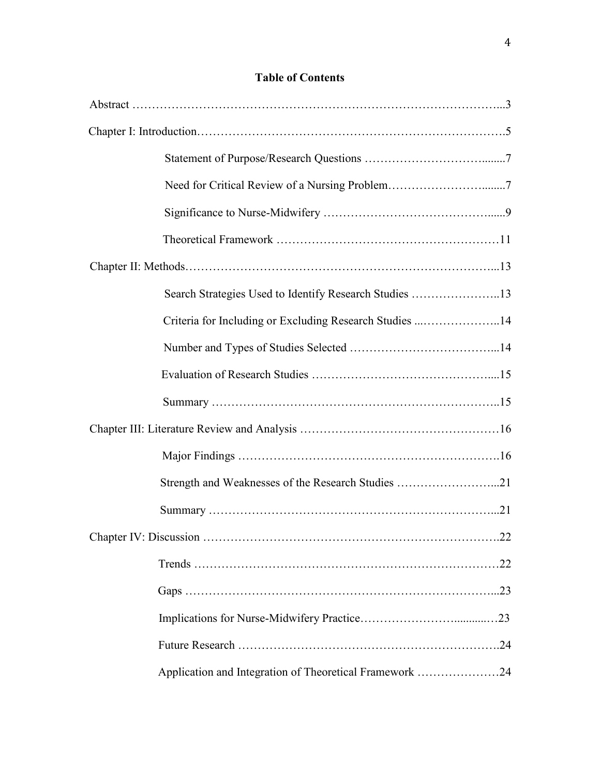### **Table of Contents**

| Criteria for Including or Excluding Research Studies 14 |  |
|---------------------------------------------------------|--|
|                                                         |  |
|                                                         |  |
|                                                         |  |
|                                                         |  |
|                                                         |  |
|                                                         |  |
|                                                         |  |
|                                                         |  |
|                                                         |  |
|                                                         |  |
|                                                         |  |
|                                                         |  |
| Application and Integration of Theoretical Framework 24 |  |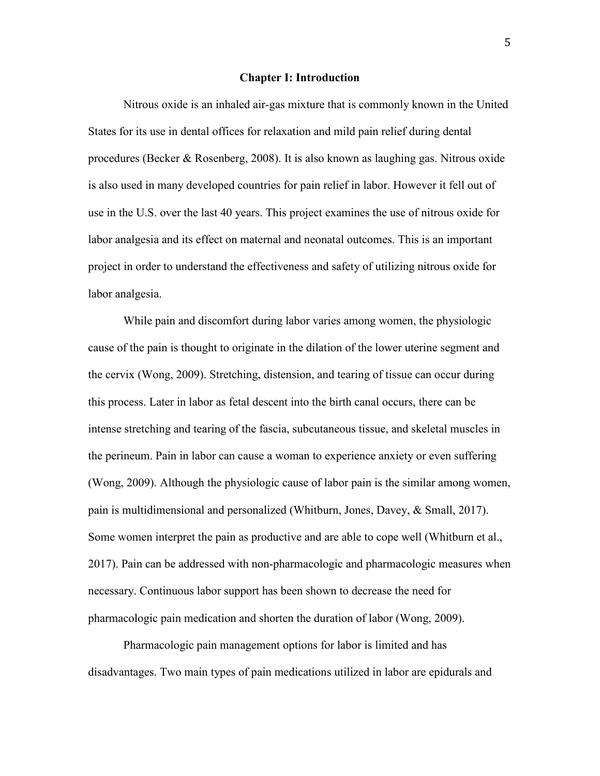#### **Chapter I: Introduction**

Nitrous oxide is an inhaled air-gas mixture that is commonly known in the United States for its use in dental offices for relaxation and mild pain relief during dental procedures (Becker & Rosenberg, 2008). It is also known as laughing gas. Nitrous oxide is also used in many developed countries for pain relief in labor. However it fell out of use in the U.S. over the last 40 years. This project examines the use of nitrous oxide for labor analgesia and its effect on maternal and neonatal outcomes. This is an important project in order to understand the effectiveness and safety of utilizing nitrous oxide for labor analgesia.

While pain and discomfort during labor varies among women, the physiologic cause of the pain is thought to originate in the dilation of the lower uterine segment and the cervix (Wong, 2009). Stretching, distension, and tearing of tissue can occur during this process. Later in labor as fetal descent into the birth canal occurs, there can be intense stretching and tearing of the fascia, subcutaneous tissue, and skeletal muscles in the perineum. Pain in labor can cause a woman to experience anxiety or even suffering (Wong, 2009). Although the physiologic cause of labor pain is the similar among women, pain is multidimensional and personalized (Whitburn, Jones, Davey, & Small, 2017). Some women interpret the pain as productive and are able to cope well (Whitburn et al., 2017). Pain can be addressed with non-pharmacologic and pharmacologic measures when necessary. Continuous labor support has been shown to decrease the need for pharmacologic pain medication and shorten the duration of labor (Wong, 2009).

Pharmacologic pain management options for labor is limited and has disadvantages. Two main types of pain medications utilized in labor are epidurals and

5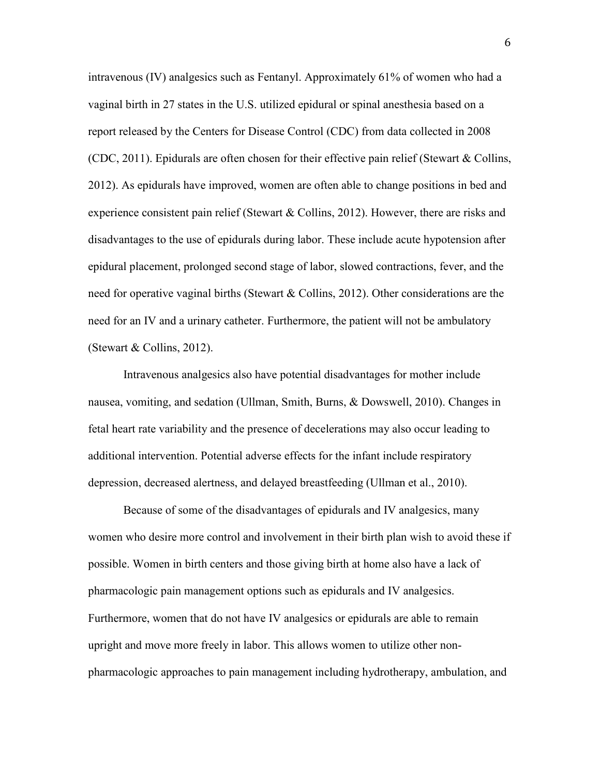intravenous (IV) analgesics such as Fentanyl. Approximately 61% of women who had a vaginal birth in 27 states in the U.S. utilized epidural or spinal anesthesia based on a report released by the Centers for Disease Control (CDC) from data collected in 2008 (CDC, 2011). Epidurals are often chosen for their effective pain relief (Stewart & Collins, 2012). As epidurals have improved, women are often able to change positions in bed and experience consistent pain relief (Stewart & Collins, 2012). However, there are risks and disadvantages to the use of epidurals during labor. These include acute hypotension after epidural placement, prolonged second stage of labor, slowed contractions, fever, and the need for operative vaginal births (Stewart & Collins, 2012). Other considerations are the need for an IV and a urinary catheter. Furthermore, the patient will not be ambulatory (Stewart & Collins, 2012).

Intravenous analgesics also have potential disadvantages for mother include nausea, vomiting, and sedation (Ullman, Smith, Burns, & Dowswell, 2010). Changes in fetal heart rate variability and the presence of decelerations may also occur leading to additional intervention. Potential adverse effects for the infant include respiratory depression, decreased alertness, and delayed breastfeeding (Ullman et al., 2010).

Because of some of the disadvantages of epidurals and IV analgesics, many women who desire more control and involvement in their birth plan wish to avoid these if possible. Women in birth centers and those giving birth at home also have a lack of pharmacologic pain management options such as epidurals and IV analgesics. Furthermore, women that do not have IV analgesics or epidurals are able to remain upright and move more freely in labor. This allows women to utilize other nonpharmacologic approaches to pain management including hydrotherapy, ambulation, and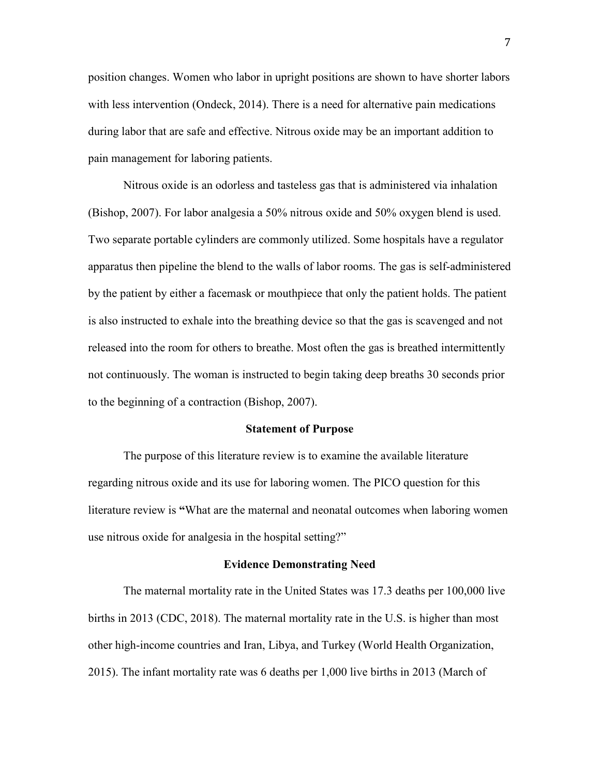position changes. Women who labor in upright positions are shown to have shorter labors with less intervention (Ondeck, 2014). There is a need for alternative pain medications during labor that are safe and effective. Nitrous oxide may be an important addition to pain management for laboring patients.

Nitrous oxide is an odorless and tasteless gas that is administered via inhalation (Bishop, 2007). For labor analgesia a 50% nitrous oxide and 50% oxygen blend is used. Two separate portable cylinders are commonly utilized. Some hospitals have a regulator apparatus then pipeline the blend to the walls of labor rooms. The gas is self-administered by the patient by either a facemask or mouthpiece that only the patient holds. The patient is also instructed to exhale into the breathing device so that the gas is scavenged and not released into the room for others to breathe. Most often the gas is breathed intermittently not continuously. The woman is instructed to begin taking deep breaths 30 seconds prior to the beginning of a contraction (Bishop, 2007).

#### **Statement of Purpose**

The purpose of this literature review is to examine the available literature regarding nitrous oxide and its use for laboring women. The PICO question for this literature review is **"**What are the maternal and neonatal outcomes when laboring women use nitrous oxide for analgesia in the hospital setting?"

#### **Evidence Demonstrating Need**

 The maternal mortality rate in the United States was 17.3 deaths per 100,000 live births in 2013 (CDC, 2018). The maternal mortality rate in the U.S. is higher than most other high-income countries and Iran, Libya, and Turkey (World Health Organization, 2015). The infant mortality rate was 6 deaths per 1,000 live births in 2013 (March of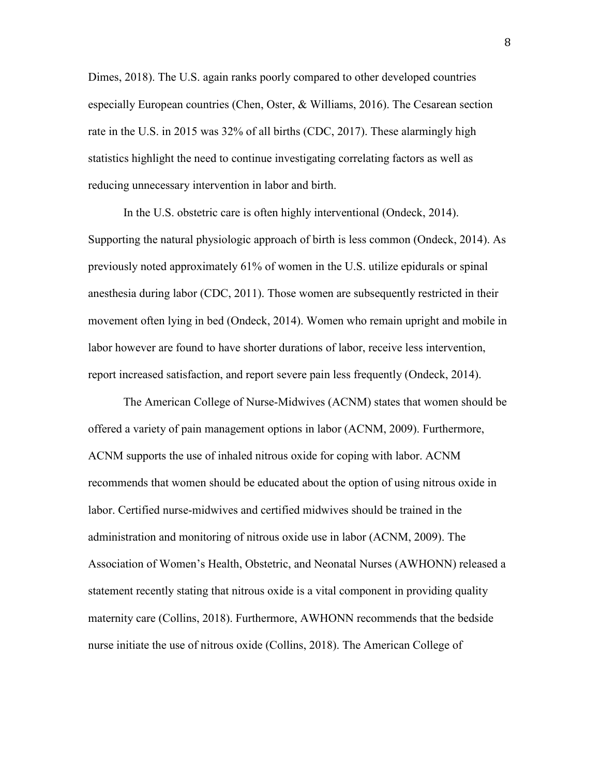Dimes, 2018). The U.S. again ranks poorly compared to other developed countries especially European countries (Chen, Oster, & Williams, 2016). The Cesarean section rate in the U.S. in 2015 was 32% of all births (CDC, 2017). These alarmingly high statistics highlight the need to continue investigating correlating factors as well as reducing unnecessary intervention in labor and birth.

 In the U.S. obstetric care is often highly interventional (Ondeck, 2014). Supporting the natural physiologic approach of birth is less common (Ondeck, 2014). As previously noted approximately 61% of women in the U.S. utilize epidurals or spinal anesthesia during labor (CDC, 2011). Those women are subsequently restricted in their movement often lying in bed (Ondeck, 2014). Women who remain upright and mobile in labor however are found to have shorter durations of labor, receive less intervention, report increased satisfaction, and report severe pain less frequently (Ondeck, 2014).

The American College of Nurse-Midwives (ACNM) states that women should be offered a variety of pain management options in labor (ACNM, 2009). Furthermore, ACNM supports the use of inhaled nitrous oxide for coping with labor. ACNM recommends that women should be educated about the option of using nitrous oxide in labor. Certified nurse-midwives and certified midwives should be trained in the administration and monitoring of nitrous oxide use in labor (ACNM, 2009). The Association of Women's Health, Obstetric, and Neonatal Nurses (AWHONN) released a statement recently stating that nitrous oxide is a vital component in providing quality maternity care (Collins, 2018). Furthermore, AWHONN recommends that the bedside nurse initiate the use of nitrous oxide (Collins, 2018). The American College of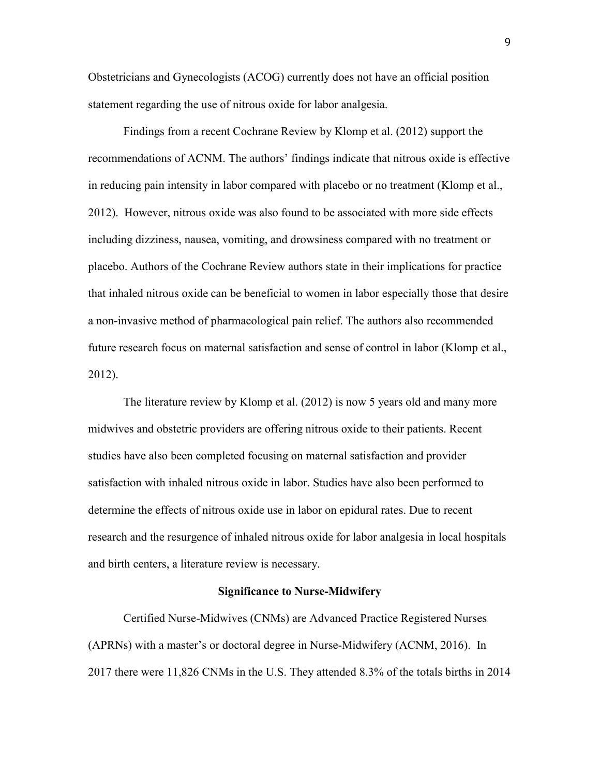Obstetricians and Gynecologists (ACOG) currently does not have an official position statement regarding the use of nitrous oxide for labor analgesia.

 Findings from a recent Cochrane Review by Klomp et al. (2012) support the recommendations of ACNM. The authors' findings indicate that nitrous oxide is effective in reducing pain intensity in labor compared with placebo or no treatment (Klomp et al., 2012). However, nitrous oxide was also found to be associated with more side effects including dizziness, nausea, vomiting, and drowsiness compared with no treatment or placebo. Authors of the Cochrane Review authors state in their implications for practice that inhaled nitrous oxide can be beneficial to women in labor especially those that desire a non-invasive method of pharmacological pain relief. The authors also recommended future research focus on maternal satisfaction and sense of control in labor (Klomp et al., 2012).

The literature review by Klomp et al. (2012) is now 5 years old and many more midwives and obstetric providers are offering nitrous oxide to their patients. Recent studies have also been completed focusing on maternal satisfaction and provider satisfaction with inhaled nitrous oxide in labor. Studies have also been performed to determine the effects of nitrous oxide use in labor on epidural rates. Due to recent research and the resurgence of inhaled nitrous oxide for labor analgesia in local hospitals and birth centers, a literature review is necessary.

#### **Significance to Nurse-Midwifery**

Certified Nurse-Midwives (CNMs) are Advanced Practice Registered Nurses (APRNs) with a master's or doctoral degree in Nurse-Midwifery (ACNM, 2016). In 2017 there were 11,826 CNMs in the U.S. They attended 8.3% of the totals births in 2014

9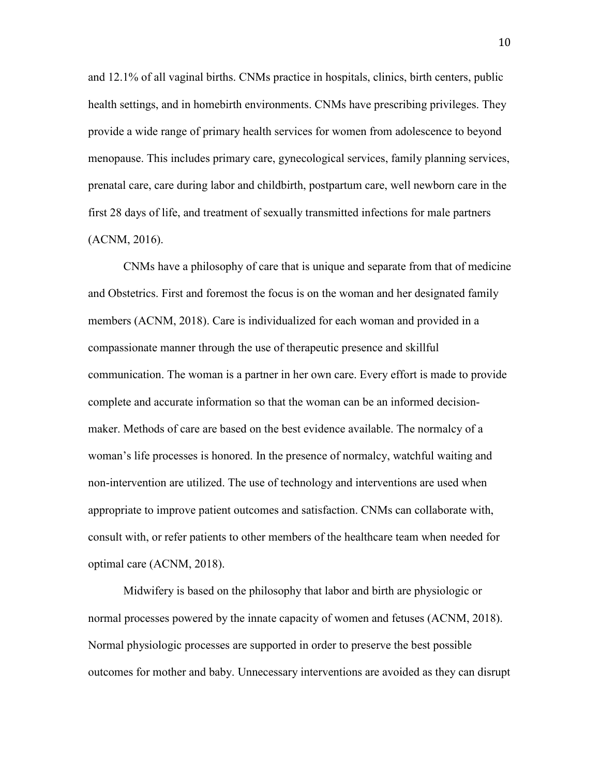and 12.1% of all vaginal births. CNMs practice in hospitals, clinics, birth centers, public health settings, and in homebirth environments. CNMs have prescribing privileges. They provide a wide range of primary health services for women from adolescence to beyond menopause. This includes primary care, gynecological services, family planning services, prenatal care, care during labor and childbirth, postpartum care, well newborn care in the first 28 days of life, and treatment of sexually transmitted infections for male partners (ACNM, 2016).

 CNMs have a philosophy of care that is unique and separate from that of medicine and Obstetrics. First and foremost the focus is on the woman and her designated family members (ACNM, 2018). Care is individualized for each woman and provided in a compassionate manner through the use of therapeutic presence and skillful communication. The woman is a partner in her own care. Every effort is made to provide complete and accurate information so that the woman can be an informed decisionmaker. Methods of care are based on the best evidence available. The normalcy of a woman's life processes is honored. In the presence of normalcy, watchful waiting and non-intervention are utilized. The use of technology and interventions are used when appropriate to improve patient outcomes and satisfaction. CNMs can collaborate with, consult with, or refer patients to other members of the healthcare team when needed for optimal care (ACNM, 2018).

 Midwifery is based on the philosophy that labor and birth are physiologic or normal processes powered by the innate capacity of women and fetuses (ACNM, 2018). Normal physiologic processes are supported in order to preserve the best possible outcomes for mother and baby. Unnecessary interventions are avoided as they can disrupt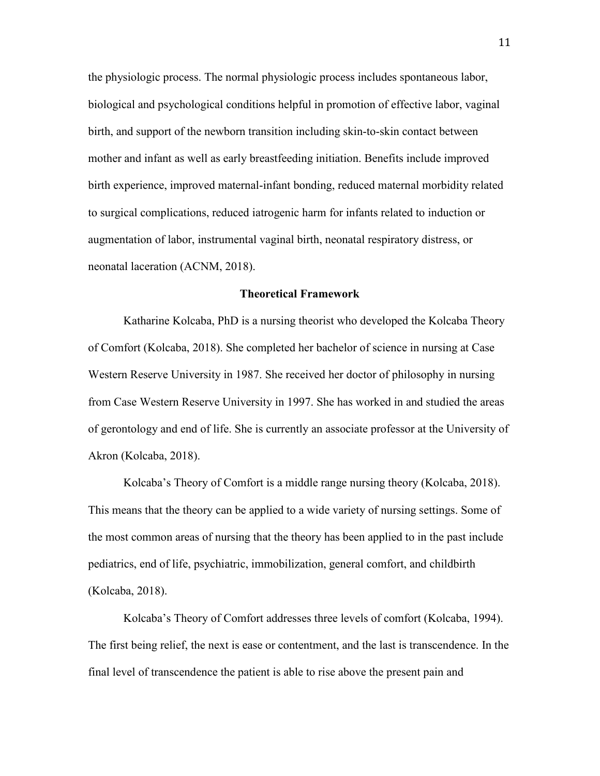the physiologic process. The normal physiologic process includes spontaneous labor, biological and psychological conditions helpful in promotion of effective labor, vaginal birth, and support of the newborn transition including skin-to-skin contact between mother and infant as well as early breastfeeding initiation. Benefits include improved birth experience, improved maternal-infant bonding, reduced maternal morbidity related to surgical complications, reduced iatrogenic harm for infants related to induction or augmentation of labor, instrumental vaginal birth, neonatal respiratory distress, or neonatal laceration (ACNM, 2018).

#### **Theoretical Framework**

Katharine Kolcaba, PhD is a nursing theorist who developed the Kolcaba Theory of Comfort (Kolcaba, 2018). She completed her bachelor of science in nursing at Case Western Reserve University in 1987. She received her doctor of philosophy in nursing from Case Western Reserve University in 1997. She has worked in and studied the areas of gerontology and end of life. She is currently an associate professor at the University of Akron (Kolcaba, 2018).

Kolcaba's Theory of Comfort is a middle range nursing theory (Kolcaba, 2018). This means that the theory can be applied to a wide variety of nursing settings. Some of the most common areas of nursing that the theory has been applied to in the past include pediatrics, end of life, psychiatric, immobilization, general comfort, and childbirth (Kolcaba, 2018).

Kolcaba's Theory of Comfort addresses three levels of comfort (Kolcaba, 1994). The first being relief, the next is ease or contentment, and the last is transcendence. In the final level of transcendence the patient is able to rise above the present pain and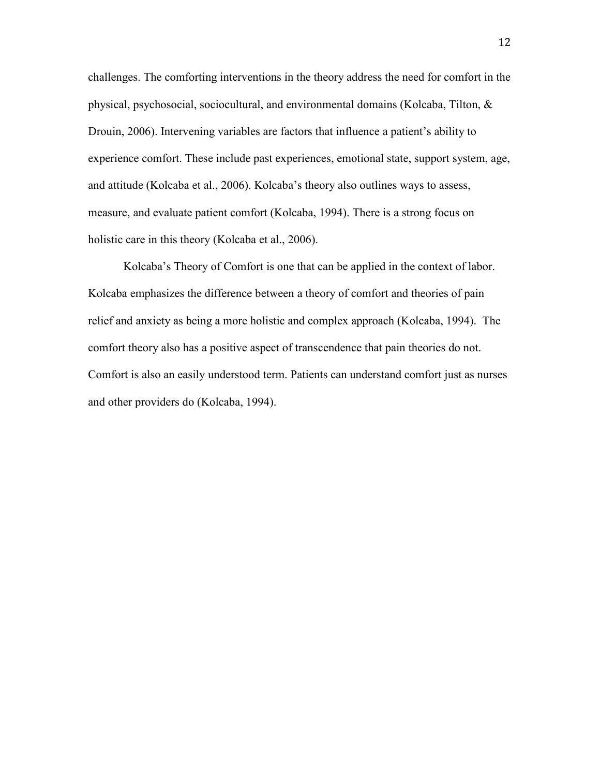challenges. The comforting interventions in the theory address the need for comfort in the physical, psychosocial, sociocultural, and environmental domains (Kolcaba, Tilton, & Drouin, 2006). Intervening variables are factors that influence a patient's ability to experience comfort. These include past experiences, emotional state, support system, age, and attitude (Kolcaba et al., 2006). Kolcaba's theory also outlines ways to assess, measure, and evaluate patient comfort (Kolcaba, 1994). There is a strong focus on holistic care in this theory (Kolcaba et al., 2006).

Kolcaba's Theory of Comfort is one that can be applied in the context of labor. Kolcaba emphasizes the difference between a theory of comfort and theories of pain relief and anxiety as being a more holistic and complex approach (Kolcaba, 1994). The comfort theory also has a positive aspect of transcendence that pain theories do not. Comfort is also an easily understood term. Patients can understand comfort just as nurses and other providers do (Kolcaba, 1994).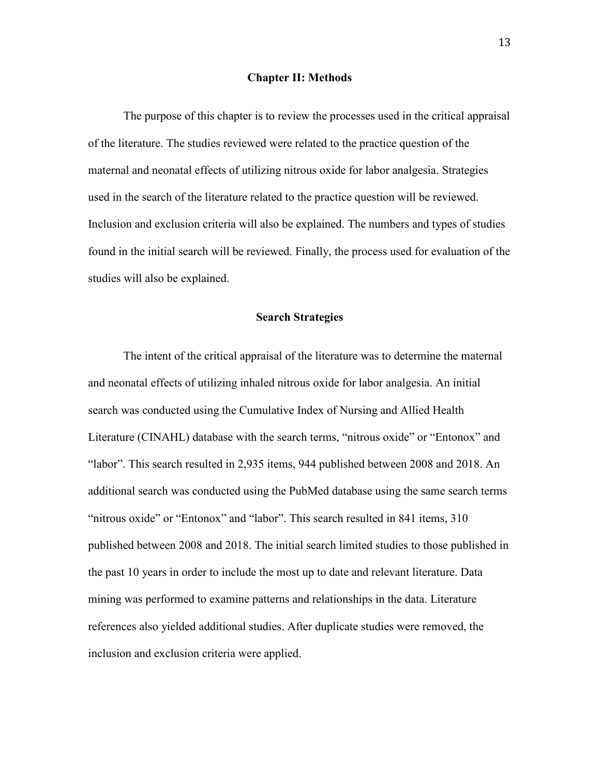#### **Chapter II: Methods**

The purpose of this chapter is to review the processes used in the critical appraisal of the literature. The studies reviewed were related to the practice question of the maternal and neonatal effects of utilizing nitrous oxide for labor analgesia. Strategies used in the search of the literature related to the practice question will be reviewed. Inclusion and exclusion criteria will also be explained. The numbers and types of studies found in the initial search will be reviewed. Finally, the process used for evaluation of the studies will also be explained.

#### **Search Strategies**

The intent of the critical appraisal of the literature was to determine the maternal and neonatal effects of utilizing inhaled nitrous oxide for labor analgesia. An initial search was conducted using the Cumulative Index of Nursing and Allied Health Literature (CINAHL) database with the search terms, "nitrous oxide" or "Entonox" and "labor". This search resulted in 2,935 items, 944 published between 2008 and 2018. An additional search was conducted using the PubMed database using the same search terms "nitrous oxide" or "Entonox" and "labor". This search resulted in 841 items, 310 published between 2008 and 2018. The initial search limited studies to those published in the past 10 years in order to include the most up to date and relevant literature. Data mining was performed to examine patterns and relationships in the data. Literature references also yielded additional studies. After duplicate studies were removed, the inclusion and exclusion criteria were applied.

13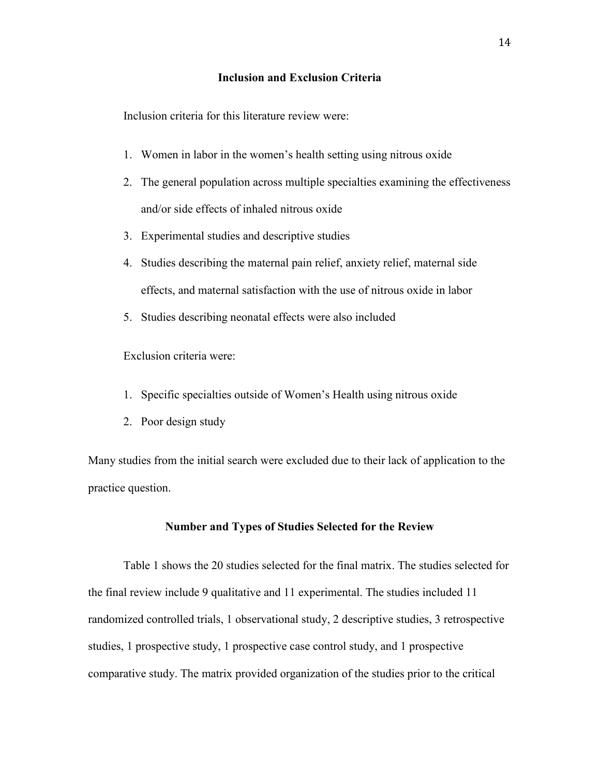#### **Inclusion and Exclusion Criteria**

Inclusion criteria for this literature review were:

- 1. Women in labor in the women's health setting using nitrous oxide
- 2. The general population across multiple specialties examining the effectiveness and/or side effects of inhaled nitrous oxide
- 3. Experimental studies and descriptive studies
- 4. Studies describing the maternal pain relief, anxiety relief, maternal side effects, and maternal satisfaction with the use of nitrous oxide in labor
- 5. Studies describing neonatal effects were also included

Exclusion criteria were:

- 1. Specific specialties outside of Women's Health using nitrous oxide
- 2. Poor design study

Many studies from the initial search were excluded due to their lack of application to the practice question.

#### **Number and Types of Studies Selected for the Review**

Table 1 shows the 20 studies selected for the final matrix. The studies selected for the final review include 9 qualitative and 11 experimental. The studies included 11 randomized controlled trials, 1 observational study, 2 descriptive studies, 3 retrospective studies, 1 prospective study, 1 prospective case control study, and 1 prospective comparative study. The matrix provided organization of the studies prior to the critical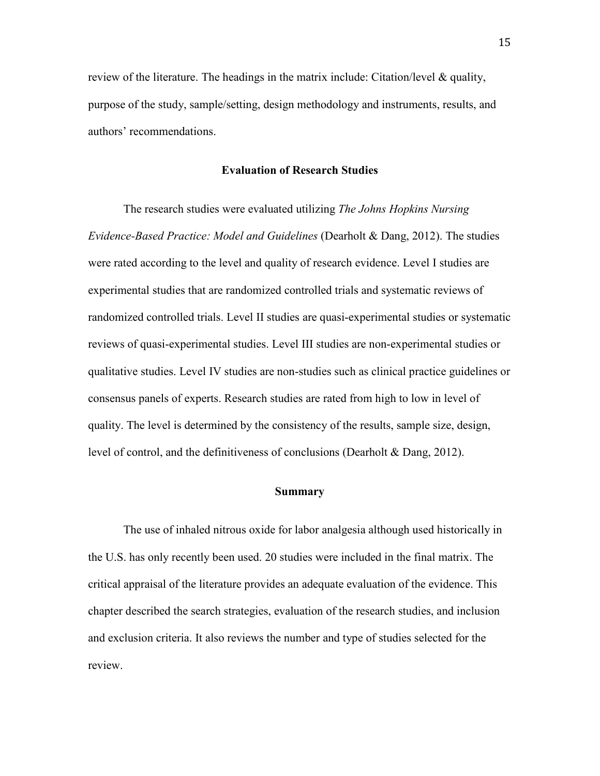review of the literature. The headings in the matrix include: Citation/level  $\&$  quality, purpose of the study, sample/setting, design methodology and instruments, results, and authors' recommendations.

#### **Evaluation of Research Studies**

The research studies were evaluated utilizing *The Johns Hopkins Nursing Evidence-Based Practice: Model and Guidelines* (Dearholt & Dang, 2012). The studies were rated according to the level and quality of research evidence. Level I studies are experimental studies that are randomized controlled trials and systematic reviews of randomized controlled trials. Level II studies are quasi-experimental studies or systematic reviews of quasi-experimental studies. Level III studies are non-experimental studies or qualitative studies. Level IV studies are non-studies such as clinical practice guidelines or consensus panels of experts. Research studies are rated from high to low in level of quality. The level is determined by the consistency of the results, sample size, design, level of control, and the definitiveness of conclusions (Dearholt & Dang, 2012).

#### **Summary**

The use of inhaled nitrous oxide for labor analgesia although used historically in the U.S. has only recently been used. 20 studies were included in the final matrix. The critical appraisal of the literature provides an adequate evaluation of the evidence. This chapter described the search strategies, evaluation of the research studies, and inclusion and exclusion criteria. It also reviews the number and type of studies selected for the review.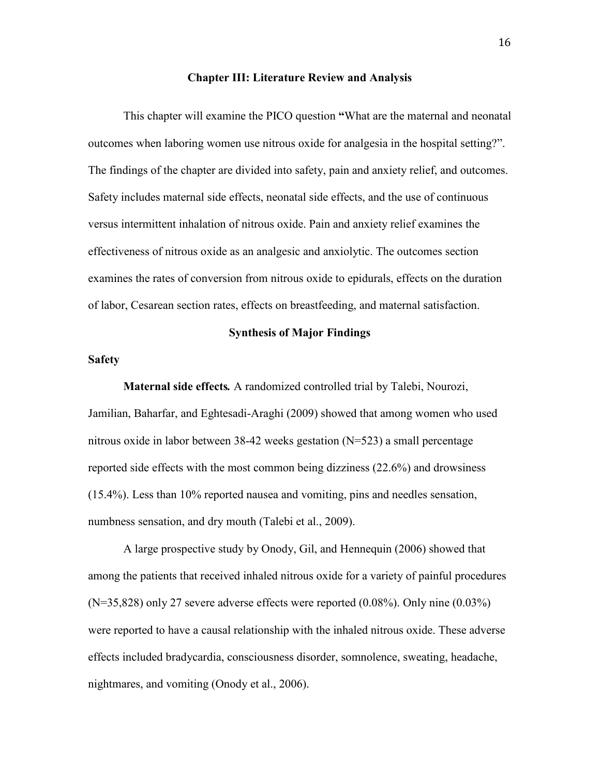#### **Chapter III: Literature Review and Analysis**

This chapter will examine the PICO question **"**What are the maternal and neonatal outcomes when laboring women use nitrous oxide for analgesia in the hospital setting?". The findings of the chapter are divided into safety, pain and anxiety relief, and outcomes. Safety includes maternal side effects, neonatal side effects, and the use of continuous versus intermittent inhalation of nitrous oxide. Pain and anxiety relief examines the effectiveness of nitrous oxide as an analgesic and anxiolytic. The outcomes section examines the rates of conversion from nitrous oxide to epidurals, effects on the duration of labor, Cesarean section rates, effects on breastfeeding, and maternal satisfaction.

#### **Synthesis of Major Findings**

#### **Safety**

**Maternal side effects***.* A randomized controlled trial by Talebi, Nourozi, Jamilian, Baharfar, and Eghtesadi-Araghi (2009) showed that among women who used nitrous oxide in labor between 38-42 weeks gestation (N=523) a small percentage reported side effects with the most common being dizziness (22.6%) and drowsiness (15.4%). Less than 10% reported nausea and vomiting, pins and needles sensation, numbness sensation, and dry mouth (Talebi et al., 2009).

A large prospective study by Onody, Gil, and Hennequin (2006) showed that among the patients that received inhaled nitrous oxide for a variety of painful procedures (N=35,828) only 27 severe adverse effects were reported (0.08%). Only nine (0.03%) were reported to have a causal relationship with the inhaled nitrous oxide. These adverse effects included bradycardia, consciousness disorder, somnolence, sweating, headache, nightmares, and vomiting (Onody et al., 2006).

16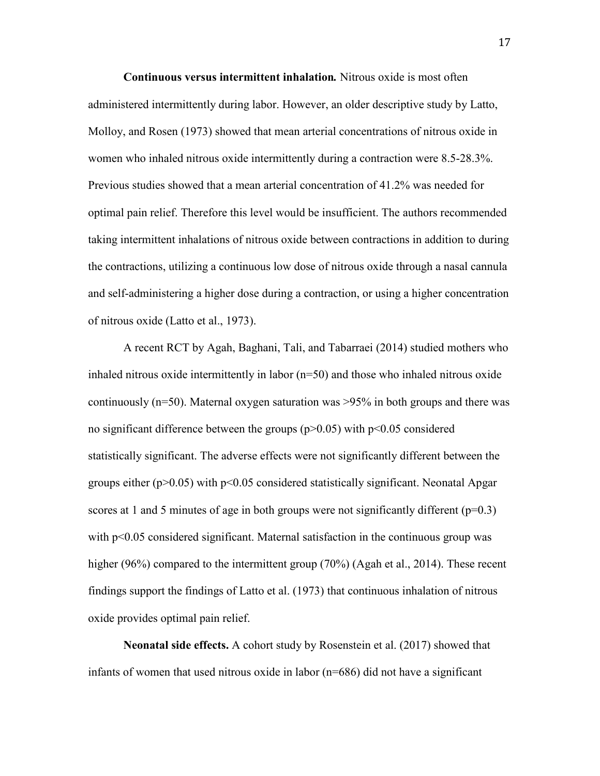**Continuous versus intermittent inhalation***.* Nitrous oxide is most often administered intermittently during labor. However, an older descriptive study by Latto, Molloy, and Rosen (1973) showed that mean arterial concentrations of nitrous oxide in women who inhaled nitrous oxide intermittently during a contraction were 8.5-28.3%. Previous studies showed that a mean arterial concentration of 41.2% was needed for optimal pain relief. Therefore this level would be insufficient. The authors recommended taking intermittent inhalations of nitrous oxide between contractions in addition to during the contractions, utilizing a continuous low dose of nitrous oxide through a nasal cannula and self-administering a higher dose during a contraction, or using a higher concentration of nitrous oxide (Latto et al., 1973).

A recent RCT by Agah, Baghani, Tali, and Tabarraei (2014) studied mothers who inhaled nitrous oxide intermittently in labor  $(n=50)$  and those who inhaled nitrous oxide continuously ( $n=50$ ). Maternal oxygen saturation was  $>95\%$  in both groups and there was no significant difference between the groups  $(p>0.05)$  with  $p<0.05$  considered statistically significant. The adverse effects were not significantly different between the groups either  $(p>0.05)$  with  $p<0.05$  considered statistically significant. Neonatal Apgar scores at 1 and 5 minutes of age in both groups were not significantly different  $(p=0.3)$ with p<0.05 considered significant. Maternal satisfaction in the continuous group was higher (96%) compared to the intermittent group (70%) (Agah et al., 2014). These recent findings support the findings of Latto et al. (1973) that continuous inhalation of nitrous oxide provides optimal pain relief.

**Neonatal side effects.** A cohort study by Rosenstein et al. (2017) showed that infants of women that used nitrous oxide in labor (n=686) did not have a significant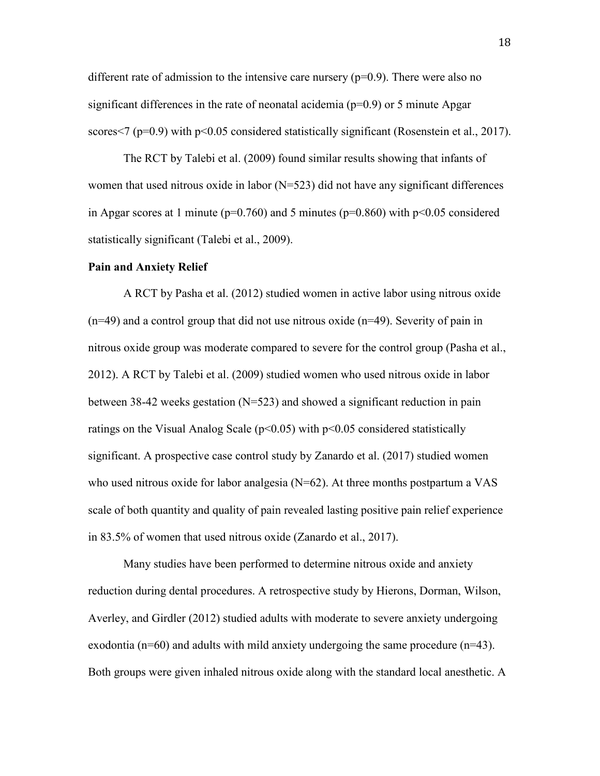different rate of admission to the intensive care nursery  $(p=0.9)$ . There were also no significant differences in the rate of neonatal acidemia  $(p=0.9)$  or 5 minute Apgar scores $\leq$  (p=0.9) with p $\leq$ 0.05 considered statistically significant (Rosenstein et al., 2017).

 The RCT by Talebi et al. (2009) found similar results showing that infants of women that used nitrous oxide in labor (N=523) did not have any significant differences in Apgar scores at 1 minute ( $p=0.760$ ) and 5 minutes ( $p=0.860$ ) with  $p<0.05$  considered statistically significant (Talebi et al., 2009).

#### **Pain and Anxiety Relief**

A RCT by Pasha et al. (2012) studied women in active labor using nitrous oxide  $(n=49)$  and a control group that did not use nitrous oxide  $(n=49)$ . Severity of pain in nitrous oxide group was moderate compared to severe for the control group (Pasha et al., 2012). A RCT by Talebi et al. (2009) studied women who used nitrous oxide in labor between 38-42 weeks gestation (N=523) and showed a significant reduction in pain ratings on the Visual Analog Scale ( $p<0.05$ ) with  $p<0.05$  considered statistically significant. A prospective case control study by Zanardo et al. (2017) studied women who used nitrous oxide for labor analgesia (N=62). At three months postpartum a VAS scale of both quantity and quality of pain revealed lasting positive pain relief experience in 83.5% of women that used nitrous oxide (Zanardo et al., 2017).

Many studies have been performed to determine nitrous oxide and anxiety reduction during dental procedures. A retrospective study by Hierons, Dorman, Wilson, Averley, and Girdler (2012) studied adults with moderate to severe anxiety undergoing exodontia ( $n=60$ ) and adults with mild anxiety undergoing the same procedure ( $n=43$ ). Both groups were given inhaled nitrous oxide along with the standard local anesthetic. A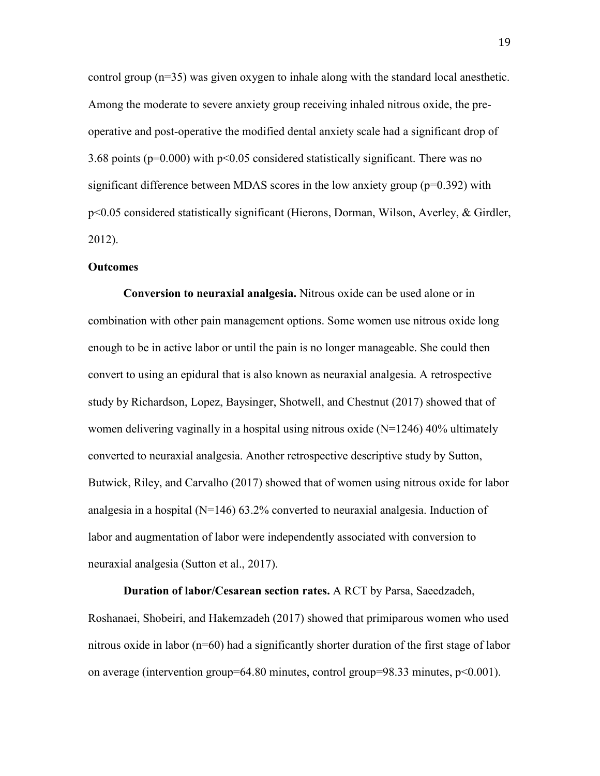control group (n=35) was given oxygen to inhale along with the standard local anesthetic. Among the moderate to severe anxiety group receiving inhaled nitrous oxide, the preoperative and post-operative the modified dental anxiety scale had a significant drop of 3.68 points ( $p=0.000$ ) with  $p<0.05$  considered statistically significant. There was no significant difference between MDAS scores in the low anxiety group (p=0.392) with p<0.05 considered statistically significant (Hierons, Dorman, Wilson, Averley, & Girdler, 2012).

#### **Outcomes**

**Conversion to neuraxial analgesia.** Nitrous oxide can be used alone or in combination with other pain management options. Some women use nitrous oxide long enough to be in active labor or until the pain is no longer manageable. She could then convert to using an epidural that is also known as neuraxial analgesia. A retrospective study by Richardson, Lopez, Baysinger, Shotwell, and Chestnut (2017) showed that of women delivering vaginally in a hospital using nitrous oxide  $(N=1246)$  40% ultimately converted to neuraxial analgesia. Another retrospective descriptive study by Sutton, Butwick, Riley, and Carvalho (2017) showed that of women using nitrous oxide for labor analgesia in a hospital  $(N=146)$  63.2% converted to neuraxial analgesia. Induction of labor and augmentation of labor were independently associated with conversion to neuraxial analgesia (Sutton et al., 2017).

**Duration of labor/Cesarean section rates.** A RCT by Parsa, Saeedzadeh, Roshanaei, Shobeiri, and Hakemzadeh (2017) showed that primiparous women who used nitrous oxide in labor (n=60) had a significantly shorter duration of the first stage of labor on average (intervention group=64.80 minutes, control group=98.33 minutes, p<0.001).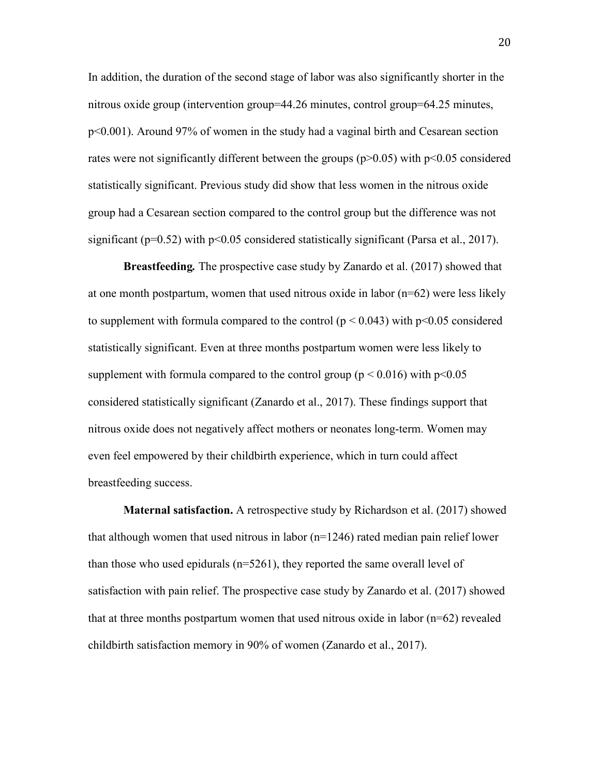In addition, the duration of the second stage of labor was also significantly shorter in the nitrous oxide group (intervention group=44.26 minutes, control group=64.25 minutes, p<0.001). Around 97% of women in the study had a vaginal birth and Cesarean section rates were not significantly different between the groups ( $p > 0.05$ ) with  $p < 0.05$  considered statistically significant. Previous study did show that less women in the nitrous oxide group had a Cesarean section compared to the control group but the difference was not significant ( $p=0.52$ ) with  $p<0.05$  considered statistically significant (Parsa et al., 2017).

**Breastfeeding***.* The prospective case study by Zanardo et al. (2017) showed that at one month postpartum, women that used nitrous oxide in labor (n=62) were less likely to supplement with formula compared to the control ( $p < 0.043$ ) with  $p < 0.05$  considered statistically significant. Even at three months postpartum women were less likely to supplement with formula compared to the control group ( $p \le 0.016$ ) with  $p \le 0.05$ considered statistically significant (Zanardo et al., 2017). These findings support that nitrous oxide does not negatively affect mothers or neonates long-term. Women may even feel empowered by their childbirth experience, which in turn could affect breastfeeding success.

**Maternal satisfaction.** A retrospective study by Richardson et al. (2017) showed that although women that used nitrous in labor (n=1246) rated median pain relief lower than those who used epidurals (n=5261), they reported the same overall level of satisfaction with pain relief. The prospective case study by Zanardo et al. (2017) showed that at three months postpartum women that used nitrous oxide in labor  $(n=62)$  revealed childbirth satisfaction memory in 90% of women (Zanardo et al., 2017).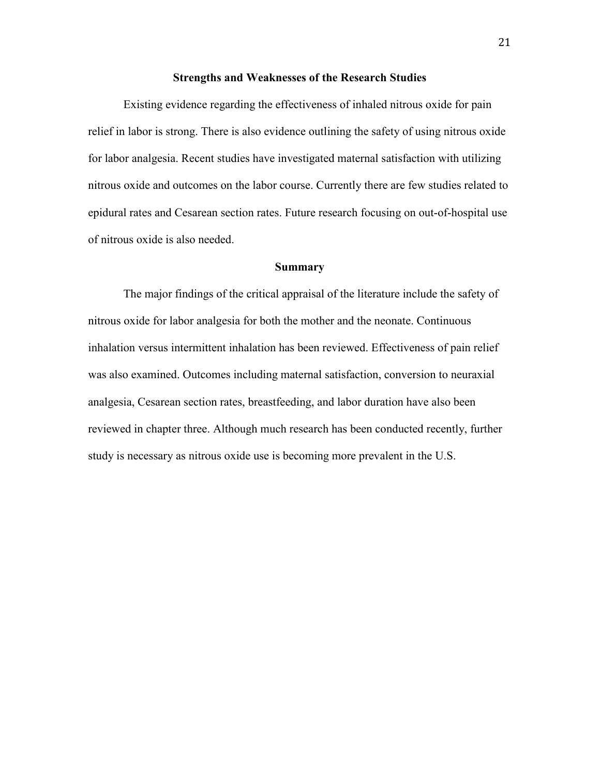#### **Strengths and Weaknesses of the Research Studies**

 Existing evidence regarding the effectiveness of inhaled nitrous oxide for pain relief in labor is strong. There is also evidence outlining the safety of using nitrous oxide for labor analgesia. Recent studies have investigated maternal satisfaction with utilizing nitrous oxide and outcomes on the labor course. Currently there are few studies related to epidural rates and Cesarean section rates. Future research focusing on out-of-hospital use of nitrous oxide is also needed.

#### **Summary**

The major findings of the critical appraisal of the literature include the safety of nitrous oxide for labor analgesia for both the mother and the neonate. Continuous inhalation versus intermittent inhalation has been reviewed. Effectiveness of pain relief was also examined. Outcomes including maternal satisfaction, conversion to neuraxial analgesia, Cesarean section rates, breastfeeding, and labor duration have also been reviewed in chapter three. Although much research has been conducted recently, further study is necessary as nitrous oxide use is becoming more prevalent in the U.S.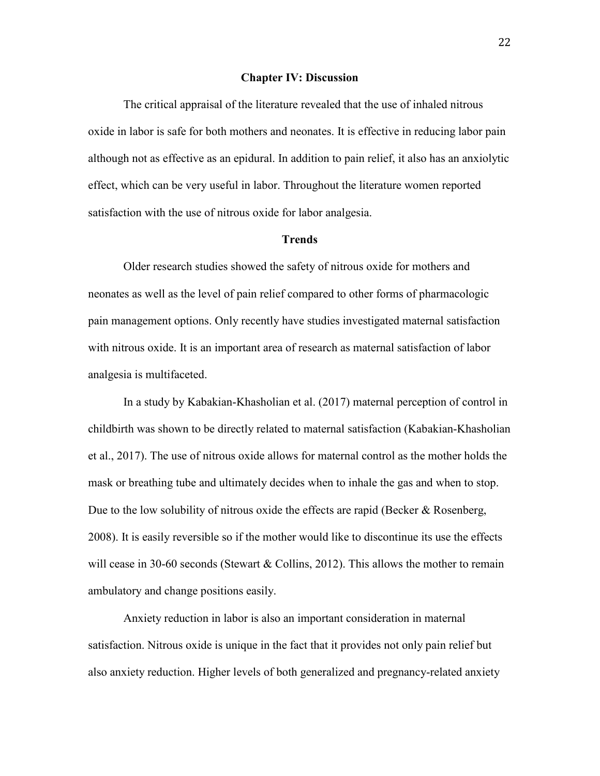#### **Chapter IV: Discussion**

The critical appraisal of the literature revealed that the use of inhaled nitrous oxide in labor is safe for both mothers and neonates. It is effective in reducing labor pain although not as effective as an epidural. In addition to pain relief, it also has an anxiolytic effect, which can be very useful in labor. Throughout the literature women reported satisfaction with the use of nitrous oxide for labor analgesia.

#### **Trends**

 Older research studies showed the safety of nitrous oxide for mothers and neonates as well as the level of pain relief compared to other forms of pharmacologic pain management options. Only recently have studies investigated maternal satisfaction with nitrous oxide. It is an important area of research as maternal satisfaction of labor analgesia is multifaceted.

In a study by Kabakian-Khasholian et al. (2017) maternal perception of control in childbirth was shown to be directly related to maternal satisfaction (Kabakian-Khasholian et al., 2017). The use of nitrous oxide allows for maternal control as the mother holds the mask or breathing tube and ultimately decides when to inhale the gas and when to stop. Due to the low solubility of nitrous oxide the effects are rapid (Becker  $\&$  Rosenberg, 2008). It is easily reversible so if the mother would like to discontinue its use the effects will cease in 30-60 seconds (Stewart & Collins, 2012). This allows the mother to remain ambulatory and change positions easily.

Anxiety reduction in labor is also an important consideration in maternal satisfaction. Nitrous oxide is unique in the fact that it provides not only pain relief but also anxiety reduction. Higher levels of both generalized and pregnancy-related anxiety

22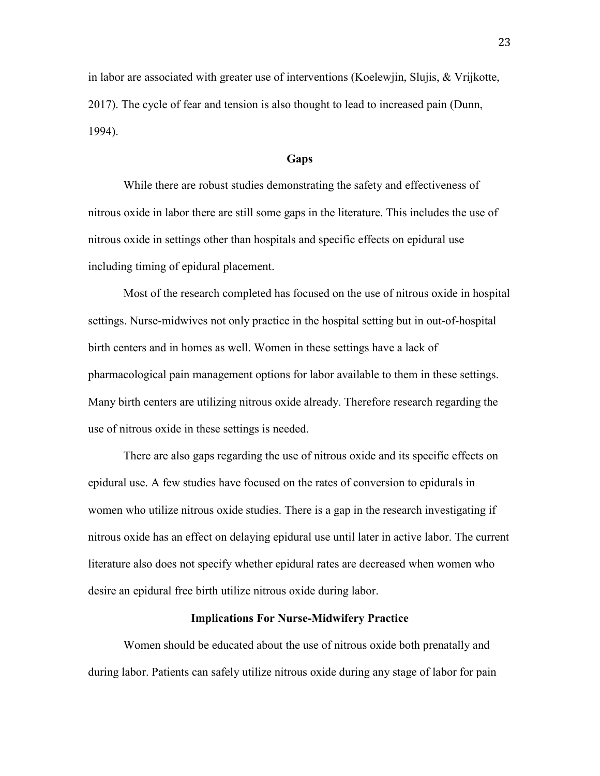in labor are associated with greater use of interventions (Koelewjin, Slujis, & Vrijkotte, 2017). The cycle of fear and tension is also thought to lead to increased pain (Dunn, 1994).

#### **Gaps**

 While there are robust studies demonstrating the safety and effectiveness of nitrous oxide in labor there are still some gaps in the literature. This includes the use of nitrous oxide in settings other than hospitals and specific effects on epidural use including timing of epidural placement.

Most of the research completed has focused on the use of nitrous oxide in hospital settings. Nurse-midwives not only practice in the hospital setting but in out-of-hospital birth centers and in homes as well. Women in these settings have a lack of pharmacological pain management options for labor available to them in these settings. Many birth centers are utilizing nitrous oxide already. Therefore research regarding the use of nitrous oxide in these settings is needed.

There are also gaps regarding the use of nitrous oxide and its specific effects on epidural use. A few studies have focused on the rates of conversion to epidurals in women who utilize nitrous oxide studies. There is a gap in the research investigating if nitrous oxide has an effect on delaying epidural use until later in active labor. The current literature also does not specify whether epidural rates are decreased when women who desire an epidural free birth utilize nitrous oxide during labor.

#### **Implications For Nurse-Midwifery Practice**

Women should be educated about the use of nitrous oxide both prenatally and during labor. Patients can safely utilize nitrous oxide during any stage of labor for pain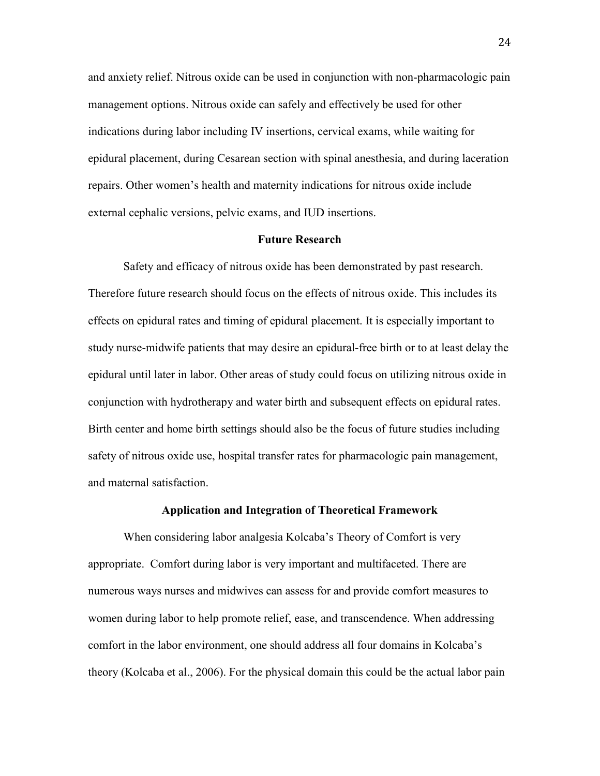and anxiety relief. Nitrous oxide can be used in conjunction with non-pharmacologic pain management options. Nitrous oxide can safely and effectively be used for other indications during labor including IV insertions, cervical exams, while waiting for epidural placement, during Cesarean section with spinal anesthesia, and during laceration repairs. Other women's health and maternity indications for nitrous oxide include external cephalic versions, pelvic exams, and IUD insertions.

#### **Future Research**

Safety and efficacy of nitrous oxide has been demonstrated by past research. Therefore future research should focus on the effects of nitrous oxide. This includes its effects on epidural rates and timing of epidural placement. It is especially important to study nurse-midwife patients that may desire an epidural-free birth or to at least delay the epidural until later in labor. Other areas of study could focus on utilizing nitrous oxide in conjunction with hydrotherapy and water birth and subsequent effects on epidural rates. Birth center and home birth settings should also be the focus of future studies including safety of nitrous oxide use, hospital transfer rates for pharmacologic pain management, and maternal satisfaction.

#### **Application and Integration of Theoretical Framework**

When considering labor analgesia Kolcaba's Theory of Comfort is very appropriate. Comfort during labor is very important and multifaceted. There are numerous ways nurses and midwives can assess for and provide comfort measures to women during labor to help promote relief, ease, and transcendence. When addressing comfort in the labor environment, one should address all four domains in Kolcaba's theory (Kolcaba et al., 2006). For the physical domain this could be the actual labor pain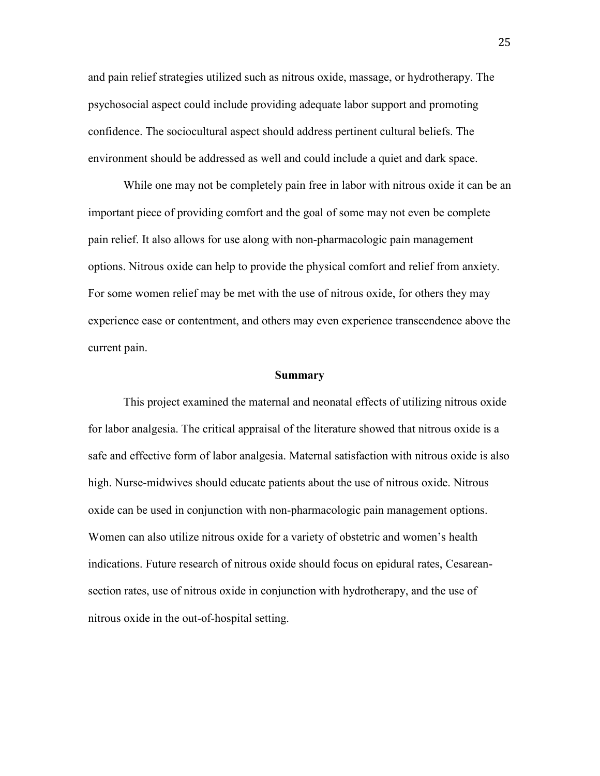and pain relief strategies utilized such as nitrous oxide, massage, or hydrotherapy. The psychosocial aspect could include providing adequate labor support and promoting confidence. The sociocultural aspect should address pertinent cultural beliefs. The environment should be addressed as well and could include a quiet and dark space.

While one may not be completely pain free in labor with nitrous oxide it can be an important piece of providing comfort and the goal of some may not even be complete pain relief. It also allows for use along with non-pharmacologic pain management options. Nitrous oxide can help to provide the physical comfort and relief from anxiety. For some women relief may be met with the use of nitrous oxide, for others they may experience ease or contentment, and others may even experience transcendence above the current pain.

#### **Summary**

This project examined the maternal and neonatal effects of utilizing nitrous oxide for labor analgesia. The critical appraisal of the literature showed that nitrous oxide is a safe and effective form of labor analgesia. Maternal satisfaction with nitrous oxide is also high. Nurse-midwives should educate patients about the use of nitrous oxide. Nitrous oxide can be used in conjunction with non-pharmacologic pain management options. Women can also utilize nitrous oxide for a variety of obstetric and women's health indications. Future research of nitrous oxide should focus on epidural rates, Cesareansection rates, use of nitrous oxide in conjunction with hydrotherapy, and the use of nitrous oxide in the out-of-hospital setting.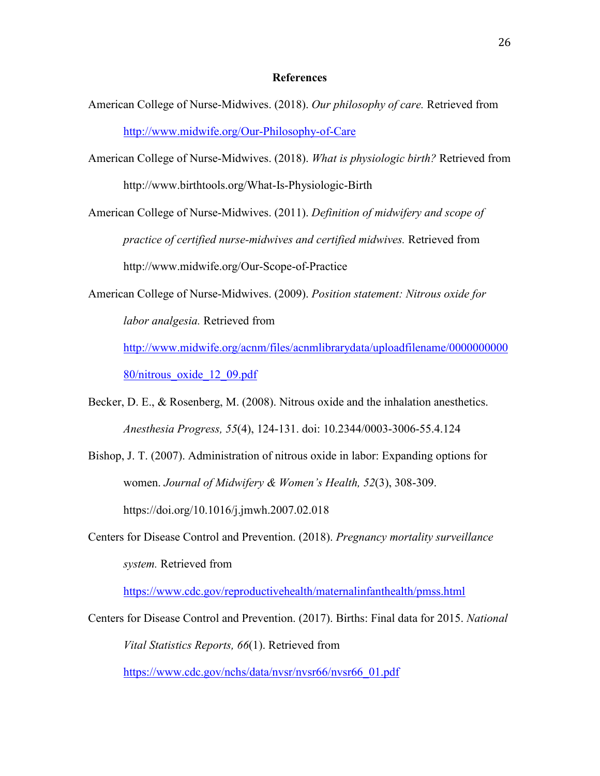#### **References**

- American College of Nurse-Midwives. (2018). *Our philosophy of care.* Retrieved from <http://www.midwife.org/Our-Philosophy-of-Care>
- American College of Nurse-Midwives. (2018). *What is physiologic birth?* Retrieved from http://www.birthtools.org/What-Is-Physiologic-Birth

American College of Nurse-Midwives. (2011). *Definition of midwifery and scope of practice of certified nurse-midwives and certified midwives.* Retrieved from http://www.midwife.org/Our-Scope-of-Practice

American College of Nurse-Midwives. (2009). *Position statement: Nitrous oxide for labor analgesia.* Retrieved from

[http://www.midwife.org/acnm/files/acnmlibrarydata/uploadfilename/0000000000](http://www.midwife.org/acnm/files/acnmlibrarydata/uploadfilename/000000000080/nitrous_oxide_12_09.pdf) [80/nitrous\\_oxide\\_12\\_09.pdf](http://www.midwife.org/acnm/files/acnmlibrarydata/uploadfilename/000000000080/nitrous_oxide_12_09.pdf)

- Becker, D. E., & Rosenberg, M. (2008). Nitrous oxide and the inhalation anesthetics. *Anesthesia Progress, 55*(4), 124-131. doi: 10.2344/0003-3006-55.4.124
- Bishop, J. T. (2007). Administration of nitrous oxide in labor: Expanding options for women. *Journal of Midwifery & Women's Health, 52*(3), 308-309. https://doi.org/10.1016/j.jmwh.2007.02.018
- Centers for Disease Control and Prevention. (2018). *Pregnancy mortality surveillance system.* Retrieved from

<https://www.cdc.gov/reproductivehealth/maternalinfanthealth/pmss.html>

Centers for Disease Control and Prevention. (2017). Births: Final data for 2015. *National Vital Statistics Reports, 66*(1). Retrieved from

[https://www.cdc.gov/nchs/data/nvsr/nvsr66/nvsr66\\_01.pdf](https://www.cdc.gov/nchs/data/nvsr/nvsr66/nvsr66_01.pdf)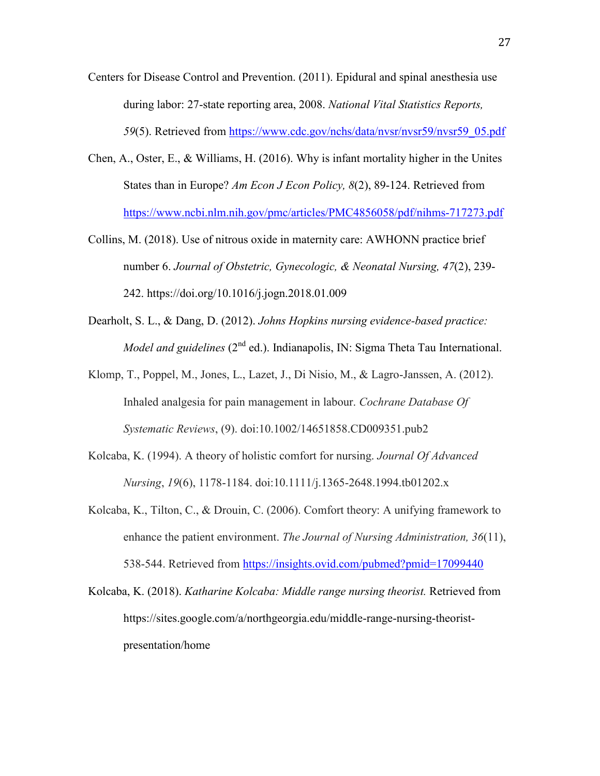- Centers for Disease Control and Prevention. (2011). Epidural and spinal anesthesia use during labor: 27-state reporting area, 2008. *National Vital Statistics Reports, 59*(5). Retrieved from [https://www.cdc.gov/nchs/data/nvsr/nvsr59/nvsr59\\_05.pdf](https://www.cdc.gov/nchs/data/nvsr/nvsr59/nvsr59_05.pdf)
- Chen, A., Oster, E., & Williams, H. (2016). Why is infant mortality higher in the Unites States than in Europe? *Am Econ J Econ Policy, 8*(2), 89-124. Retrieved from <https://www.ncbi.nlm.nih.gov/pmc/articles/PMC4856058/pdf/nihms-717273.pdf>
- Collins, M. (2018). Use of nitrous oxide in maternity care: AWHONN practice brief number 6. *Journal of Obstetric, Gynecologic, & Neonatal Nursing, 47*(2), 239- 242. https://doi.org/10.1016/j.jogn.2018.01.009
- Dearholt, S. L., & Dang, D. (2012). *Johns Hopkins nursing evidence-based practice: Model and guidelines* (2<sup>nd</sup> ed.). Indianapolis, IN: Sigma Theta Tau International.
- Klomp, T., Poppel, M., Jones, L., Lazet, J., Di Nisio, M., & Lagro-Janssen, A. (2012). Inhaled analgesia for pain management in labour. *Cochrane Database Of Systematic Reviews*, (9). doi:10.1002/14651858.CD009351.pub2
- Kolcaba, K. (1994). A theory of holistic comfort for nursing. *Journal Of Advanced Nursing*, *19*(6), 1178-1184. doi:10.1111/j.1365-2648.1994.tb01202.x
- Kolcaba, K., Tilton, C., & Drouin, C. (2006). Comfort theory: A unifying framework to enhance the patient environment. *The Journal of Nursing Administration, 36*(11), 538-544. Retrieved from<https://insights.ovid.com/pubmed?pmid=17099440>
- Kolcaba, K. (2018). *Katharine Kolcaba: Middle range nursing theorist.* Retrieved from https://sites.google.com/a/northgeorgia.edu/middle-range-nursing-theoristpresentation/home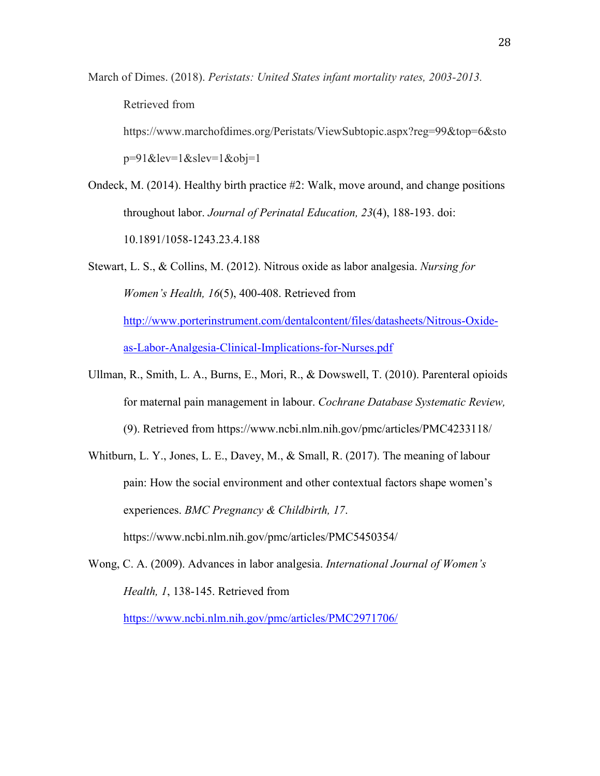March of Dimes. (2018). *Peristats: United States infant mortality rates, 2003-2013.* 

Retrieved from

https://www.marchofdimes.org/Peristats/ViewSubtopic.aspx?reg=99&top=6&sto

 $p=91\&\text{lev}=1\&\text{slev}=1\&\text{obj}=1$ 

- Ondeck, M. (2014). Healthy birth practice #2: Walk, move around, and change positions throughout labor. *Journal of Perinatal Education, 23*(4), 188-193. doi: 10.1891/1058-1243.23.4.188
- Stewart, L. S., & Collins, M. (2012). Nitrous oxide as labor analgesia. *Nursing for Women's Health, 16*(5), 400-408. Retrieved from [http://www.porterinstrument.com/dentalcontent/files/datasheets/Nitrous-Oxide](http://www.porterinstrument.com/dentalcontent/files/datasheets/Nitrous-Oxide-as-Labor-Analgesia-Clinical-Implications-for-Nurses.pdf)[as-Labor-Analgesia-Clinical-Implications-for-Nurses.pdf](http://www.porterinstrument.com/dentalcontent/files/datasheets/Nitrous-Oxide-as-Labor-Analgesia-Clinical-Implications-for-Nurses.pdf)
- Ullman, R., Smith, L. A., Burns, E., Mori, R., & Dowswell, T. (2010). Parenteral opioids for maternal pain management in labour. *Cochrane Database Systematic Review,*  (9). Retrieved from https://www.ncbi.nlm.nih.gov/pmc/articles/PMC4233118/
- Whitburn, L. Y., Jones, L. E., Davey, M., & Small, R. (2017). The meaning of labour pain: How the social environment and other contextual factors shape women's experiences. *BMC Pregnancy & Childbirth, 17*. https://www.ncbi.nlm.nih.gov/pmc/articles/PMC5450354/
- Wong, C. A. (2009). Advances in labor analgesia. *International Journal of Women's Health, 1*, 138-145. Retrieved from

<https://www.ncbi.nlm.nih.gov/pmc/articles/PMC2971706/>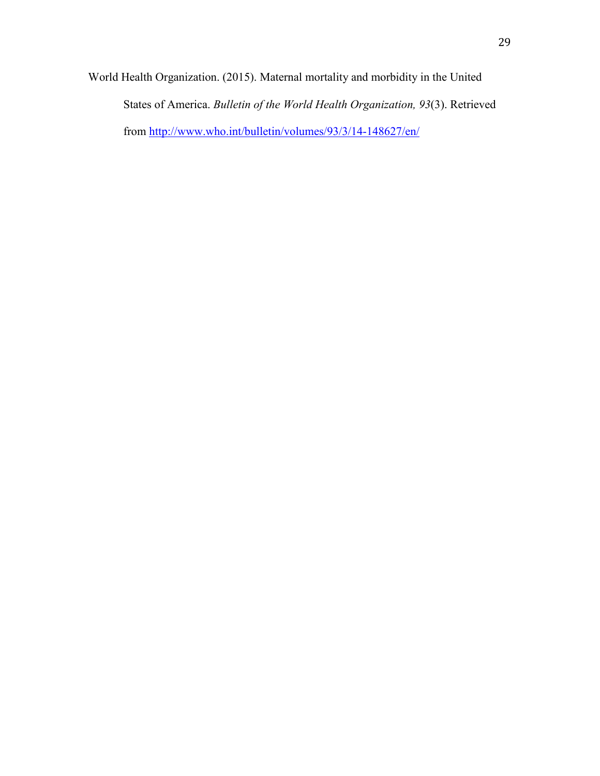World Health Organization. (2015). Maternal mortality and morbidity in the United States of America. *Bulletin of the World Health Organization, 93*(3). Retrieved from<http://www.who.int/bulletin/volumes/93/3/14-148627/en/>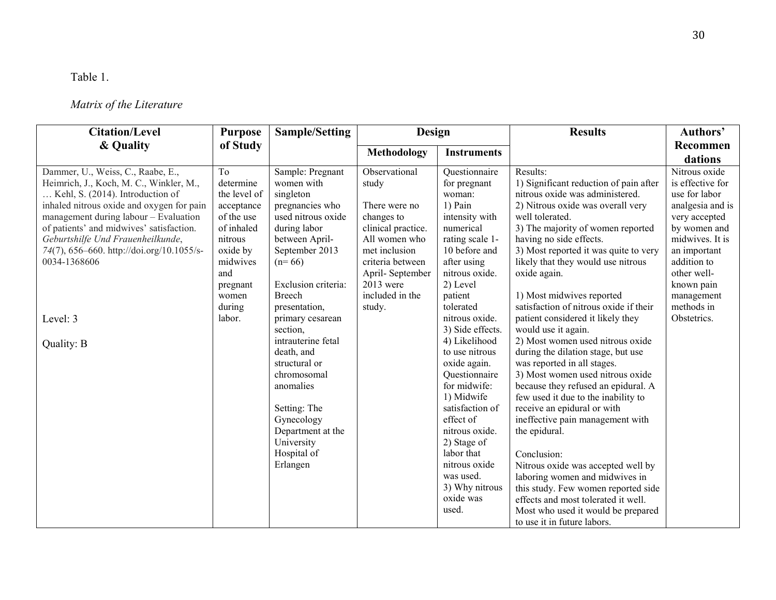## Table 1.

## *Matrix of the Literature*

| <b>Citation/Level</b>                                                                                                                                                                                                                                                                                                                                | <b>Purpose</b>                                                                                                                                                 | <b>Sample/Setting</b>                                                                                                                                                                                         | Design                                                                                                                                                                                           |                                                                                                                                                                                                                                                                                           | <b>Results</b>                                                                                                                                                                                                                                                                                                                                                                                                                                                                                                                                                                                                    | Authors'                                                                                                                                                                                                           |
|------------------------------------------------------------------------------------------------------------------------------------------------------------------------------------------------------------------------------------------------------------------------------------------------------------------------------------------------------|----------------------------------------------------------------------------------------------------------------------------------------------------------------|---------------------------------------------------------------------------------------------------------------------------------------------------------------------------------------------------------------|--------------------------------------------------------------------------------------------------------------------------------------------------------------------------------------------------|-------------------------------------------------------------------------------------------------------------------------------------------------------------------------------------------------------------------------------------------------------------------------------------------|-------------------------------------------------------------------------------------------------------------------------------------------------------------------------------------------------------------------------------------------------------------------------------------------------------------------------------------------------------------------------------------------------------------------------------------------------------------------------------------------------------------------------------------------------------------------------------------------------------------------|--------------------------------------------------------------------------------------------------------------------------------------------------------------------------------------------------------------------|
| & Quality                                                                                                                                                                                                                                                                                                                                            | of Study                                                                                                                                                       |                                                                                                                                                                                                               | Methodology                                                                                                                                                                                      | <b>Instruments</b>                                                                                                                                                                                                                                                                        |                                                                                                                                                                                                                                                                                                                                                                                                                                                                                                                                                                                                                   | Recommen<br>dations                                                                                                                                                                                                |
| Dammer, U., Weiss, C., Raabe, E.,<br>Heimrich, J., Koch, M. C., Winkler, M.,<br>Kehl, S. (2014). Introduction of<br>inhaled nitrous oxide and oxygen for pain<br>management during labour - Evaluation<br>of patients' and midwives' satisfaction.<br>Geburtshilfe Und Frauenheilkunde,<br>74(7), 656–660. http://doi.org/10.1055/s-<br>0034-1368606 | T <sub>o</sub><br>determine<br>the level of<br>acceptance<br>of the use<br>of inhaled<br>nitrous<br>oxide by<br>midwives<br>and<br>pregnant<br>women<br>during | Sample: Pregnant<br>women with<br>singleton<br>pregnancies who<br>used nitrous oxide<br>during labor<br>between April-<br>September 2013<br>$(n=66)$<br>Exclusion criteria:<br><b>Breech</b><br>presentation. | Observational<br>study<br>There were no<br>changes to<br>clinical practice.<br>All women who<br>met inclusion<br>criteria between<br>April-September<br>$2013$ were<br>included in the<br>study. | Questionnaire<br>for pregnant<br>woman:<br>$1)$ Pain<br>intensity with<br>numerical<br>rating scale 1-<br>10 before and<br>after using<br>nitrous oxide.<br>2) Level<br>patient<br>tolerated                                                                                              | Results:<br>1) Significant reduction of pain after<br>nitrous oxide was administered.<br>2) Nitrous oxide was overall very<br>well tolerated.<br>3) The majority of women reported<br>having no side effects.<br>3) Most reported it was quite to very<br>likely that they would use nitrous<br>oxide again.<br>1) Most midwives reported<br>satisfaction of nitrous oxide if their                                                                                                                                                                                                                               | Nitrous oxide<br>is effective for<br>use for labor<br>analgesia and is<br>very accepted<br>by women and<br>midwives. It is<br>an important<br>addition to<br>other well-<br>known pain<br>management<br>methods in |
| Level: 3<br>Quality: B                                                                                                                                                                                                                                                                                                                               | labor.                                                                                                                                                         | primary cesarean<br>section,<br>intrauterine fetal<br>death, and<br>structural or<br>chromosomal<br>anomalies<br>Setting: The<br>Gynecology<br>Department at the<br>University<br>Hospital of<br>Erlangen     |                                                                                                                                                                                                  | nitrous oxide.<br>3) Side effects.<br>4) Likelihood<br>to use nitrous<br>oxide again.<br>Questionnaire<br>for midwife:<br>1) Midwife<br>satisfaction of<br>effect of<br>nitrous oxide.<br>2) Stage of<br>labor that<br>nitrous oxide<br>was used.<br>3) Why nitrous<br>oxide was<br>used. | patient considered it likely they<br>would use it again.<br>2) Most women used nitrous oxide<br>during the dilation stage, but use<br>was reported in all stages.<br>3) Most women used nitrous oxide<br>because they refused an epidural. A<br>few used it due to the inability to<br>receive an epidural or with<br>ineffective pain management with<br>the epidural.<br>Conclusion:<br>Nitrous oxide was accepted well by<br>laboring women and midwives in<br>this study. Few women reported side<br>effects and most tolerated it well.<br>Most who used it would be prepared<br>to use it in future labors. | Obstetrics.                                                                                                                                                                                                        |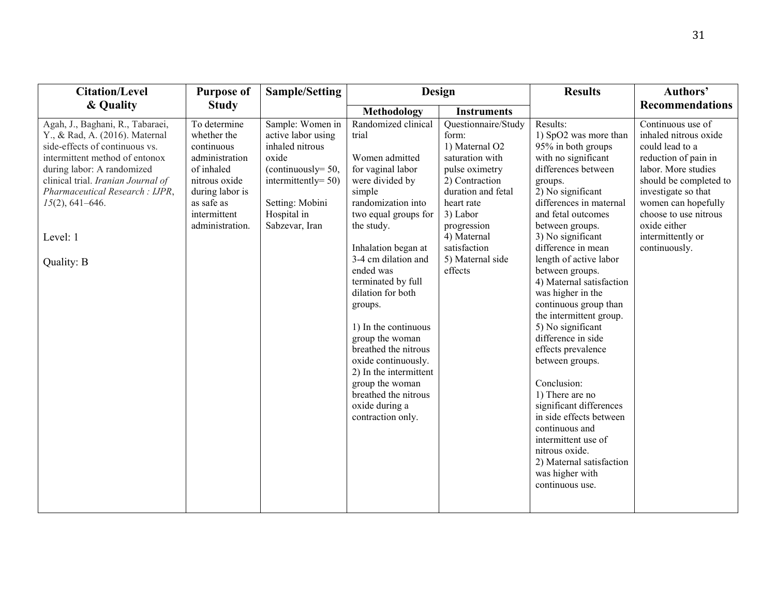| <b>Citation/Level</b>                                                                                                                                                                                                                                                                        | <b>Purpose of</b>                                                                                                                                              | <b>Sample/Setting</b>                                                                                                                                                     |                                                                                                                                                                                                                                                                                                                                                                                                                                                                                     | Design                                                                                                                                                                                                                             |                                                                                                                                                                                                                                                                                                                                                                                                                                                                                                                                                                                                                                                                                                                 | Authors'                                                                                                                                                                                                                                                            |
|----------------------------------------------------------------------------------------------------------------------------------------------------------------------------------------------------------------------------------------------------------------------------------------------|----------------------------------------------------------------------------------------------------------------------------------------------------------------|---------------------------------------------------------------------------------------------------------------------------------------------------------------------------|-------------------------------------------------------------------------------------------------------------------------------------------------------------------------------------------------------------------------------------------------------------------------------------------------------------------------------------------------------------------------------------------------------------------------------------------------------------------------------------|------------------------------------------------------------------------------------------------------------------------------------------------------------------------------------------------------------------------------------|-----------------------------------------------------------------------------------------------------------------------------------------------------------------------------------------------------------------------------------------------------------------------------------------------------------------------------------------------------------------------------------------------------------------------------------------------------------------------------------------------------------------------------------------------------------------------------------------------------------------------------------------------------------------------------------------------------------------|---------------------------------------------------------------------------------------------------------------------------------------------------------------------------------------------------------------------------------------------------------------------|
| & Quality                                                                                                                                                                                                                                                                                    | <b>Study</b>                                                                                                                                                   |                                                                                                                                                                           | <b>Methodology</b>                                                                                                                                                                                                                                                                                                                                                                                                                                                                  | <b>Instruments</b>                                                                                                                                                                                                                 |                                                                                                                                                                                                                                                                                                                                                                                                                                                                                                                                                                                                                                                                                                                 | <b>Recommendations</b>                                                                                                                                                                                                                                              |
| Agah, J., Baghani, R., Tabaraei,<br>Y., & Rad, A. (2016). Maternal<br>side-effects of continuous vs.<br>intermittent method of entonox<br>during labor: A randomized<br>clinical trial. Iranian Journal of<br>Pharmaceutical Research: IJPR,<br>$15(2)$ , 641-646.<br>Level: 1<br>Quality: B | To determine<br>whether the<br>continuous<br>administration<br>of inhaled<br>nitrous oxide<br>during labor is<br>as safe as<br>intermittent<br>administration. | Sample: Women in<br>active labor using<br>inhaled nitrous<br>oxide<br>(continuously= $50$ ,<br>intermittently= $50$ )<br>Setting: Mobini<br>Hospital in<br>Sabzevar, Iran | Randomized clinical<br>trial<br>Women admitted<br>for vaginal labor<br>were divided by<br>simple<br>randomization into<br>two equal groups for<br>the study.<br>Inhalation began at<br>3-4 cm dilation and<br>ended was<br>terminated by full<br>dilation for both<br>groups.<br>1) In the continuous<br>group the woman<br>breathed the nitrous<br>oxide continuously.<br>2) In the intermittent<br>group the woman<br>breathed the nitrous<br>oxide during a<br>contraction only. | Questionnaire/Study<br>form:<br>1) Maternal O2<br>saturation with<br>pulse oximetry<br>2) Contraction<br>duration and fetal<br>heart rate<br>3) Labor<br>progression<br>4) Maternal<br>satisfaction<br>5) Maternal side<br>effects | Results:<br>1) SpO2 was more than<br>95% in both groups<br>with no significant<br>differences between<br>groups.<br>2) No significant<br>differences in maternal<br>and fetal outcomes<br>between groups.<br>3) No significant<br>difference in mean<br>length of active labor<br>between groups.<br>4) Maternal satisfaction<br>was higher in the<br>continuous group than<br>the intermittent group.<br>5) No significant<br>difference in side<br>effects prevalence<br>between groups.<br>Conclusion:<br>1) There are no<br>significant differences<br>in side effects between<br>continuous and<br>intermittent use of<br>nitrous oxide.<br>2) Maternal satisfaction<br>was higher with<br>continuous use. | Continuous use of<br>inhaled nitrous oxide<br>could lead to a<br>reduction of pain in<br>labor. More studies<br>should be completed to<br>investigate so that<br>women can hopefully<br>choose to use nitrous<br>oxide either<br>intermittently or<br>continuously. |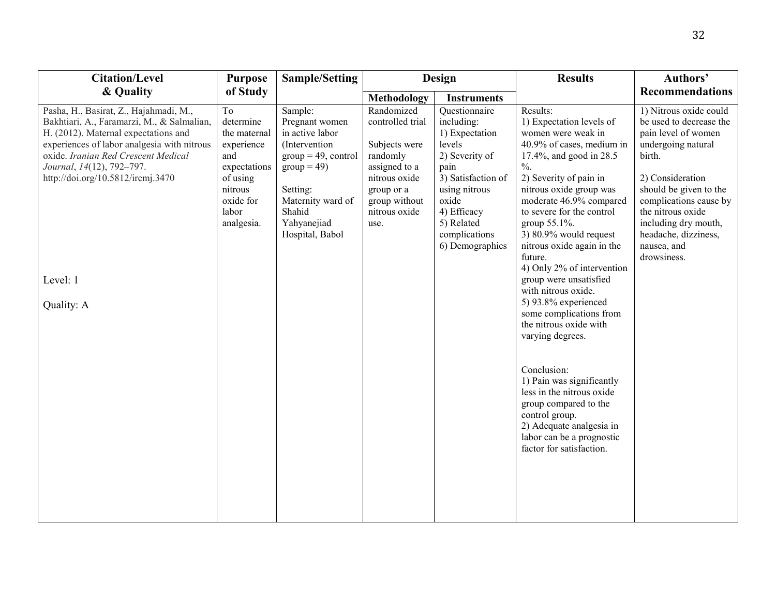| <b>Citation/Level</b>                                                                                                                                                                                                                                                                                          | <b>Purpose</b>                                                                                                                  | <b>Sample/Setting</b>                                                                                                                                                                       |                                                                                                                                                       | Design                                                                                                                                                                                             | <b>Results</b>                                                                                                                                                                                                                                                                                                                                                                                                                                                                                                                                                                                                                                                                                                                       | Authors'                                                                                                                                                                                                                                                                            |
|----------------------------------------------------------------------------------------------------------------------------------------------------------------------------------------------------------------------------------------------------------------------------------------------------------------|---------------------------------------------------------------------------------------------------------------------------------|---------------------------------------------------------------------------------------------------------------------------------------------------------------------------------------------|-------------------------------------------------------------------------------------------------------------------------------------------------------|----------------------------------------------------------------------------------------------------------------------------------------------------------------------------------------------------|--------------------------------------------------------------------------------------------------------------------------------------------------------------------------------------------------------------------------------------------------------------------------------------------------------------------------------------------------------------------------------------------------------------------------------------------------------------------------------------------------------------------------------------------------------------------------------------------------------------------------------------------------------------------------------------------------------------------------------------|-------------------------------------------------------------------------------------------------------------------------------------------------------------------------------------------------------------------------------------------------------------------------------------|
| & Quality                                                                                                                                                                                                                                                                                                      | of Study                                                                                                                        |                                                                                                                                                                                             | <b>Methodology</b>                                                                                                                                    | <b>Instruments</b>                                                                                                                                                                                 |                                                                                                                                                                                                                                                                                                                                                                                                                                                                                                                                                                                                                                                                                                                                      | <b>Recommendations</b>                                                                                                                                                                                                                                                              |
| Pasha, H., Basirat, Z., Hajahmadi, M.,<br>Bakhtiari, A., Faramarzi, M., & Salmalian,<br>H. (2012). Maternal expectations and<br>experiences of labor analgesia with nitrous<br>oxide. Iranian Red Crescent Medical<br>Journal, 14(12), 792-797.<br>http://doi.org/10.5812/ircmj.3470<br>Level: 1<br>Quality: A | To<br>determine<br>the maternal<br>experience<br>and<br>expectations<br>of using<br>nitrous<br>oxide for<br>labor<br>analgesia. | Sample:<br>Pregnant women<br>in active labor<br>(Intervention)<br>$group = 49, control$<br>$\text{group} = 49$<br>Setting:<br>Maternity ward of<br>Shahid<br>Yahyanejiad<br>Hospital, Babol | Randomized<br>controlled trial<br>Subjects were<br>randomly<br>assigned to a<br>nitrous oxide<br>group or a<br>group without<br>nitrous oxide<br>use. | Questionnaire<br>including:<br>1) Expectation<br>levels<br>2) Severity of<br>pain<br>3) Satisfaction of<br>using nitrous<br>oxide<br>4) Efficacy<br>5) Related<br>complications<br>6) Demographics | Results:<br>1) Expectation levels of<br>women were weak in<br>40.9% of cases, medium in<br>17.4%, and good in 28.5<br>$\frac{0}{6}$ .<br>2) Severity of pain in<br>nitrous oxide group was<br>moderate 46.9% compared<br>to severe for the control<br>group 55.1%.<br>3) $80.9\%$ would request<br>nitrous oxide again in the<br>future.<br>4) Only 2% of intervention<br>group were unsatisfied<br>with nitrous oxide.<br>5) $93.8\%$ experienced<br>some complications from<br>the nitrous oxide with<br>varying degrees.<br>Conclusion:<br>1) Pain was significantly<br>less in the nitrous oxide<br>group compared to the<br>control group.<br>2) Adequate analgesia in<br>labor can be a prognostic<br>factor for satisfaction. | 1) Nitrous oxide could<br>be used to decrease the<br>pain level of women<br>undergoing natural<br>birth.<br>2) Consideration<br>should be given to the<br>complications cause by<br>the nitrous oxide<br>including dry mouth,<br>headache, dizziness,<br>nausea, and<br>drowsiness. |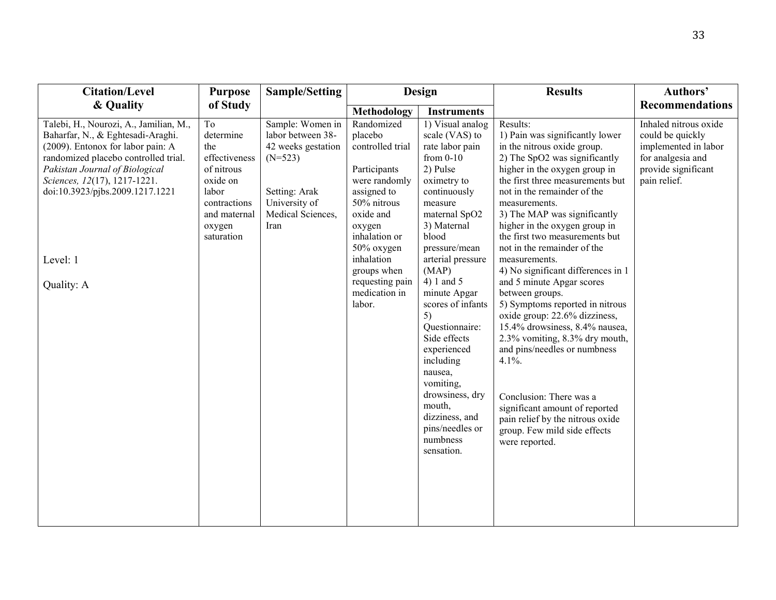| <b>Citation/Level</b>                                                                                                                                                                                                                                                                   | <b>Purpose</b>                                                                                                                     | <b>Sample/Setting</b>                                                                                                                   |                                                                                                                                                                                                                                           | Design                                                                                                                                                                                                                                                                                                                                                                                                                                                          | <b>Results</b>                                                                                                                                                                                                                                                                                                                                                                                                                                                                                                                                                                                                                                                                                                                                                                                                    | Authors'                                                                                                                      |
|-----------------------------------------------------------------------------------------------------------------------------------------------------------------------------------------------------------------------------------------------------------------------------------------|------------------------------------------------------------------------------------------------------------------------------------|-----------------------------------------------------------------------------------------------------------------------------------------|-------------------------------------------------------------------------------------------------------------------------------------------------------------------------------------------------------------------------------------------|-----------------------------------------------------------------------------------------------------------------------------------------------------------------------------------------------------------------------------------------------------------------------------------------------------------------------------------------------------------------------------------------------------------------------------------------------------------------|-------------------------------------------------------------------------------------------------------------------------------------------------------------------------------------------------------------------------------------------------------------------------------------------------------------------------------------------------------------------------------------------------------------------------------------------------------------------------------------------------------------------------------------------------------------------------------------------------------------------------------------------------------------------------------------------------------------------------------------------------------------------------------------------------------------------|-------------------------------------------------------------------------------------------------------------------------------|
| & Quality                                                                                                                                                                                                                                                                               | of Study                                                                                                                           |                                                                                                                                         | <b>Methodology</b>                                                                                                                                                                                                                        | <b>Instruments</b>                                                                                                                                                                                                                                                                                                                                                                                                                                              |                                                                                                                                                                                                                                                                                                                                                                                                                                                                                                                                                                                                                                                                                                                                                                                                                   | <b>Recommendations</b>                                                                                                        |
| Talebi, H., Nourozi, A., Jamilian, M.,<br>Baharfar, N., & Eghtesadi-Araghi.<br>(2009). Entonox for labor pain: A<br>randomized placebo controlled trial.<br>Pakistan Journal of Biological<br>Sciences, 12(17), 1217-1221.<br>doi:10.3923/pjbs.2009.1217.1221<br>Level: 1<br>Quality: A | To<br>determine<br>the<br>effectiveness<br>of nitrous<br>oxide on<br>labor<br>contractions<br>and maternal<br>oxygen<br>saturation | Sample: Women in<br>labor between 38-<br>42 weeks gestation<br>$(N=523)$<br>Setting: Arak<br>University of<br>Medical Sciences,<br>Iran | Randomized<br>placebo<br>controlled trial<br>Participants<br>were randomly<br>assigned to<br>50% nitrous<br>oxide and<br>oxygen<br>inhalation or<br>50% oxygen<br>inhalation<br>groups when<br>requesting pain<br>medication in<br>labor. | 1) Visual analog<br>scale (VAS) to<br>rate labor pain<br>from $0-10$<br>2) Pulse<br>oximetry to<br>continuously<br>measure<br>maternal SpO2<br>3) Maternal<br>blood<br>pressure/mean<br>arterial pressure<br>(MAP)<br>$4) 1$ and 5<br>minute Apgar<br>scores of infants<br>5)<br>Questionnaire:<br>Side effects<br>experienced<br>including<br>nausea,<br>vomiting,<br>drowsiness, dry<br>mouth,<br>dizziness, and<br>pins/needles or<br>numbness<br>sensation. | Results:<br>1) Pain was significantly lower<br>in the nitrous oxide group.<br>2) The SpO2 was significantly<br>higher in the oxygen group in<br>the first three measurements but<br>not in the remainder of the<br>measurements.<br>3) The MAP was significantly<br>higher in the oxygen group in<br>the first two measurements but<br>not in the remainder of the<br>measurements.<br>4) No significant differences in 1<br>and 5 minute Apgar scores<br>between groups.<br>5) Symptoms reported in nitrous<br>oxide group: 22.6% dizziness,<br>15.4% drowsiness, 8.4% nausea,<br>2.3% vomiting, 8.3% dry mouth,<br>and pins/needles or numbness<br>$4.1\%$ .<br>Conclusion: There was a<br>significant amount of reported<br>pain relief by the nitrous oxide<br>group. Few mild side effects<br>were reported. | Inhaled nitrous oxide<br>could be quickly<br>implemented in labor<br>for analgesia and<br>provide significant<br>pain relief. |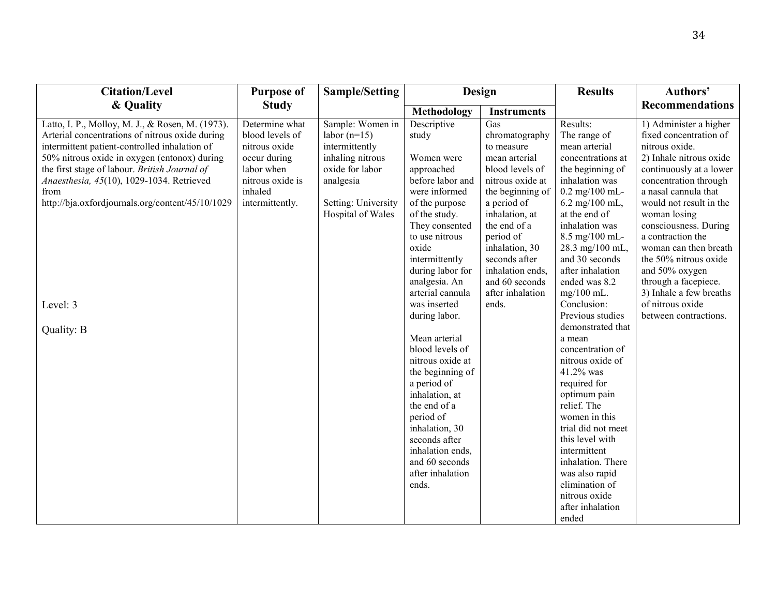| <b>Citation/Level</b>                                                                                                                                                                                                                                                                                                                                          | <b>Purpose of</b>                                                                                                                  | <b>Sample/Setting</b>                                                                                                                                | Design                                                                                                                                                                                                                                       |                                                                                                                                                                                                                                                        | <b>Results</b>                                                                                                                                                                                                                                                                                                   | Authors'                                                                                                                                                                                                                                                                                                                                                       |
|----------------------------------------------------------------------------------------------------------------------------------------------------------------------------------------------------------------------------------------------------------------------------------------------------------------------------------------------------------------|------------------------------------------------------------------------------------------------------------------------------------|------------------------------------------------------------------------------------------------------------------------------------------------------|----------------------------------------------------------------------------------------------------------------------------------------------------------------------------------------------------------------------------------------------|--------------------------------------------------------------------------------------------------------------------------------------------------------------------------------------------------------------------------------------------------------|------------------------------------------------------------------------------------------------------------------------------------------------------------------------------------------------------------------------------------------------------------------------------------------------------------------|----------------------------------------------------------------------------------------------------------------------------------------------------------------------------------------------------------------------------------------------------------------------------------------------------------------------------------------------------------------|
| & Quality                                                                                                                                                                                                                                                                                                                                                      | <b>Study</b>                                                                                                                       |                                                                                                                                                      | Methodology                                                                                                                                                                                                                                  | <b>Instruments</b>                                                                                                                                                                                                                                     |                                                                                                                                                                                                                                                                                                                  | <b>Recommendations</b>                                                                                                                                                                                                                                                                                                                                         |
| Latto, I. P., Molloy, M. J., & Rosen, M. (1973).<br>Arterial concentrations of nitrous oxide during<br>intermittent patient-controlled inhalation of<br>50% nitrous oxide in oxygen (entonox) during<br>the first stage of labour. British Journal of<br>Anaesthesia, 45(10), 1029-1034. Retrieved<br>from<br>http://bja.oxfordjournals.org/content/45/10/1029 | Determine what<br>blood levels of<br>nitrous oxide<br>occur during<br>labor when<br>nitrous oxide is<br>inhaled<br>intermittently. | Sample: Women in<br>labor $(n=15)$<br>intermittently<br>inhaling nitrous<br>oxide for labor<br>analgesia<br>Setting: University<br>Hospital of Wales | Descriptive<br>study<br>Women were<br>approached<br>before labor and<br>were informed<br>of the purpose<br>of the study.<br>They consented<br>to use nitrous<br>oxide<br>intermittently<br>during labor for<br>analgesia. An                 | Gas<br>chromatography<br>to measure<br>mean arterial<br>blood levels of<br>nitrous oxide at<br>the beginning of<br>a period of<br>inhalation, at<br>the end of a<br>period of<br>inhalation, 30<br>seconds after<br>inhalation ends,<br>and 60 seconds | Results:<br>The range of<br>mean arterial<br>concentrations at<br>the beginning of<br>inhalation was<br>$0.2$ mg/100 mL-<br>6.2 mg/100 mL,<br>at the end of<br>inhalation was<br>8.5 mg/100 mL-<br>28.3 mg/100 mL,<br>and 30 seconds<br>after inhalation<br>ended was 8.2                                        | 1) Administer a higher<br>fixed concentration of<br>nitrous oxide.<br>2) Inhale nitrous oxide<br>continuously at a lower<br>concentration through<br>a nasal cannula that<br>would not result in the<br>woman losing<br>consciousness. During<br>a contraction the<br>woman can then breath<br>the 50% nitrous oxide<br>and 50% oxygen<br>through a facepiece. |
| Level: 3                                                                                                                                                                                                                                                                                                                                                       |                                                                                                                                    |                                                                                                                                                      | arterial cannula<br>was inserted<br>during labor.                                                                                                                                                                                            | after inhalation<br>ends.                                                                                                                                                                                                                              | $mg/100$ mL.<br>Conclusion:<br>Previous studies                                                                                                                                                                                                                                                                  | 3) Inhale a few breaths<br>of nitrous oxide<br>between contractions.                                                                                                                                                                                                                                                                                           |
| Quality: B                                                                                                                                                                                                                                                                                                                                                     |                                                                                                                                    |                                                                                                                                                      | Mean arterial<br>blood levels of<br>nitrous oxide at<br>the beginning of<br>a period of<br>inhalation, at<br>the end of a<br>period of<br>inhalation, 30<br>seconds after<br>inhalation ends,<br>and 60 seconds<br>after inhalation<br>ends. |                                                                                                                                                                                                                                                        | demonstrated that<br>a mean<br>concentration of<br>nitrous oxide of<br>41.2% was<br>required for<br>optimum pain<br>relief. The<br>women in this<br>trial did not meet<br>this level with<br>intermittent<br>inhalation. There<br>was also rapid<br>elimination of<br>nitrous oxide<br>after inhalation<br>ended |                                                                                                                                                                                                                                                                                                                                                                |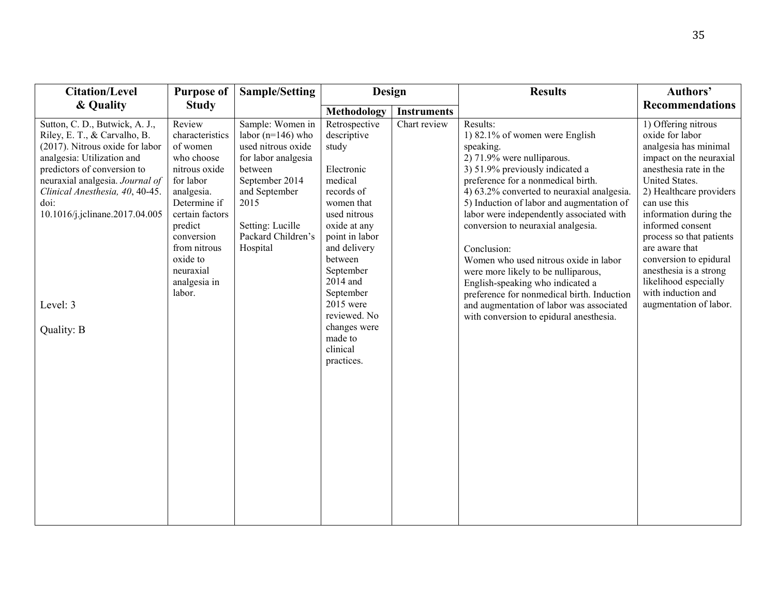| <b>Citation/Level</b>                                                                                                                                                                                                                                                                                    | <b>Purpose of</b>                                                                                                                                                                                                              | <b>Sample/Setting</b>                                                                                                                                                                              | <b>Design</b>                                                                                                                                                                                                                                                                                   |                    | <b>Results</b>                                                                                                                                                                                                                                                                                                                                                                                                                                                                                                                                                                                                      | Authors'                                                                                                                                                                                                                                                                                                                                                                                                   |
|----------------------------------------------------------------------------------------------------------------------------------------------------------------------------------------------------------------------------------------------------------------------------------------------------------|--------------------------------------------------------------------------------------------------------------------------------------------------------------------------------------------------------------------------------|----------------------------------------------------------------------------------------------------------------------------------------------------------------------------------------------------|-------------------------------------------------------------------------------------------------------------------------------------------------------------------------------------------------------------------------------------------------------------------------------------------------|--------------------|---------------------------------------------------------------------------------------------------------------------------------------------------------------------------------------------------------------------------------------------------------------------------------------------------------------------------------------------------------------------------------------------------------------------------------------------------------------------------------------------------------------------------------------------------------------------------------------------------------------------|------------------------------------------------------------------------------------------------------------------------------------------------------------------------------------------------------------------------------------------------------------------------------------------------------------------------------------------------------------------------------------------------------------|
| & Quality                                                                                                                                                                                                                                                                                                | <b>Study</b>                                                                                                                                                                                                                   |                                                                                                                                                                                                    | Methodology                                                                                                                                                                                                                                                                                     | <b>Instruments</b> |                                                                                                                                                                                                                                                                                                                                                                                                                                                                                                                                                                                                                     | <b>Recommendations</b>                                                                                                                                                                                                                                                                                                                                                                                     |
| Sutton, C. D., Butwick, A. J.,<br>Riley, E. T., & Carvalho, B.<br>(2017). Nitrous oxide for labor<br>analgesia: Utilization and<br>predictors of conversion to<br>neuraxial analgesia. Journal of<br>Clinical Anesthesia, 40, 40-45.<br>doi:<br>10.1016/j.jclinane.2017.04.005<br>Level: 3<br>Quality: B | Review<br>characteristics<br>of women<br>who choose<br>nitrous oxide<br>for labor<br>analgesia.<br>Determine if<br>certain factors<br>predict<br>conversion<br>from nitrous<br>oxide to<br>neuraxial<br>analgesia in<br>labor. | Sample: Women in<br>labor ( $n=146$ ) who<br>used nitrous oxide<br>for labor analgesia<br>between<br>September 2014<br>and September<br>2015<br>Setting: Lucille<br>Packard Children's<br>Hospital | Retrospective<br>descriptive<br>study<br>Electronic<br>medical<br>records of<br>women that<br>used nitrous<br>oxide at any<br>point in labor<br>and delivery<br>between<br>September<br>2014 and<br>September<br>2015 were<br>reviewed. No<br>changes were<br>made to<br>clinical<br>practices. | Chart review       | Results:<br>1) 82.1% of women were English<br>speaking.<br>2) 71.9% were nulliparous.<br>3) 51.9% previously indicated a<br>preference for a nonmedical birth.<br>4) 63.2% converted to neuraxial analgesia.<br>5) Induction of labor and augmentation of<br>labor were independently associated with<br>conversion to neuraxial analgesia.<br>Conclusion:<br>Women who used nitrous oxide in labor<br>were more likely to be nulliparous,<br>English-speaking who indicated a<br>preference for nonmedical birth. Induction<br>and augmentation of labor was associated<br>with conversion to epidural anesthesia. | 1) Offering nitrous<br>oxide for labor<br>analgesia has minimal<br>impact on the neuraxial<br>anesthesia rate in the<br>United States.<br>2) Healthcare providers<br>can use this<br>information during the<br>informed consent<br>process so that patients<br>are aware that<br>conversion to epidural<br>anesthesia is a strong<br>likelihood especially<br>with induction and<br>augmentation of labor. |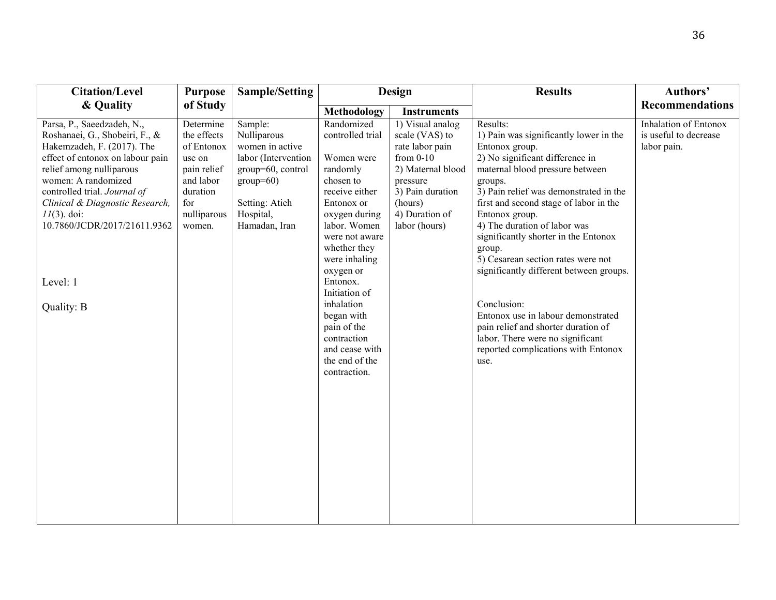| <b>Citation/Level</b>                                                                                                                                                                                                                                                                                                            | <b>Purpose</b>                                                                                                           | <b>Sample/Setting</b>                                                                                                                                |                                                                                                                                                                                                                                                                                                                                                   | Design                                                                                                                                                                  | <b>Results</b>                                                                                                                                                                                                                                                                                                                                                                                                                                                                                                                                                                                                | Authors'                                                             |
|----------------------------------------------------------------------------------------------------------------------------------------------------------------------------------------------------------------------------------------------------------------------------------------------------------------------------------|--------------------------------------------------------------------------------------------------------------------------|------------------------------------------------------------------------------------------------------------------------------------------------------|---------------------------------------------------------------------------------------------------------------------------------------------------------------------------------------------------------------------------------------------------------------------------------------------------------------------------------------------------|-------------------------------------------------------------------------------------------------------------------------------------------------------------------------|---------------------------------------------------------------------------------------------------------------------------------------------------------------------------------------------------------------------------------------------------------------------------------------------------------------------------------------------------------------------------------------------------------------------------------------------------------------------------------------------------------------------------------------------------------------------------------------------------------------|----------------------------------------------------------------------|
| & Quality                                                                                                                                                                                                                                                                                                                        | of Study                                                                                                                 |                                                                                                                                                      | Methodology                                                                                                                                                                                                                                                                                                                                       | <b>Instruments</b>                                                                                                                                                      |                                                                                                                                                                                                                                                                                                                                                                                                                                                                                                                                                                                                               | <b>Recommendations</b>                                               |
| Parsa, P., Saeedzadeh, N.,<br>Roshanaei, G., Shobeiri, F., &<br>Hakemzadeh, F. (2017). The<br>effect of entonox on labour pain<br>relief among nulliparous<br>women: A randomized<br>controlled trial. Journal of<br>Clinical & Diagnostic Research,<br>$11(3)$ . doi:<br>10.7860/JCDR/2017/21611.9362<br>Level: 1<br>Quality: B | Determine<br>the effects<br>of Entonox<br>use on<br>pain relief<br>and labor<br>duration<br>for<br>nulliparous<br>women. | Sample:<br>Nulliparous<br>women in active<br>labor (Intervention<br>group=60, control<br>$group=60)$<br>Setting: Atieh<br>Hospital,<br>Hamadan, Iran | Randomized<br>controlled trial<br>Women were<br>randomly<br>chosen to<br>receive either<br>Entonox or<br>oxygen during<br>labor. Women<br>were not aware<br>whether they<br>were inhaling<br>oxygen or<br>Entonox.<br>Initiation of<br>inhalation<br>began with<br>pain of the<br>contraction<br>and cease with<br>the end of the<br>contraction. | 1) Visual analog<br>scale (VAS) to<br>rate labor pain<br>from $0-10$<br>2) Maternal blood<br>pressure<br>3) Pain duration<br>(hours)<br>4) Duration of<br>labor (hours) | Results:<br>1) Pain was significantly lower in the<br>Entonox group.<br>2) No significant difference in<br>maternal blood pressure between<br>groups.<br>3) Pain relief was demonstrated in the<br>first and second stage of labor in the<br>Entonox group.<br>4) The duration of labor was<br>significantly shorter in the Entonox<br>group.<br>5) Cesarean section rates were not<br>significantly different between groups.<br>Conclusion:<br>Entonox use in labour demonstrated<br>pain relief and shorter duration of<br>labor. There were no significant<br>reported complications with Entonox<br>use. | <b>Inhalation of Entonox</b><br>is useful to decrease<br>labor pain. |
|                                                                                                                                                                                                                                                                                                                                  |                                                                                                                          |                                                                                                                                                      |                                                                                                                                                                                                                                                                                                                                                   |                                                                                                                                                                         |                                                                                                                                                                                                                                                                                                                                                                                                                                                                                                                                                                                                               |                                                                      |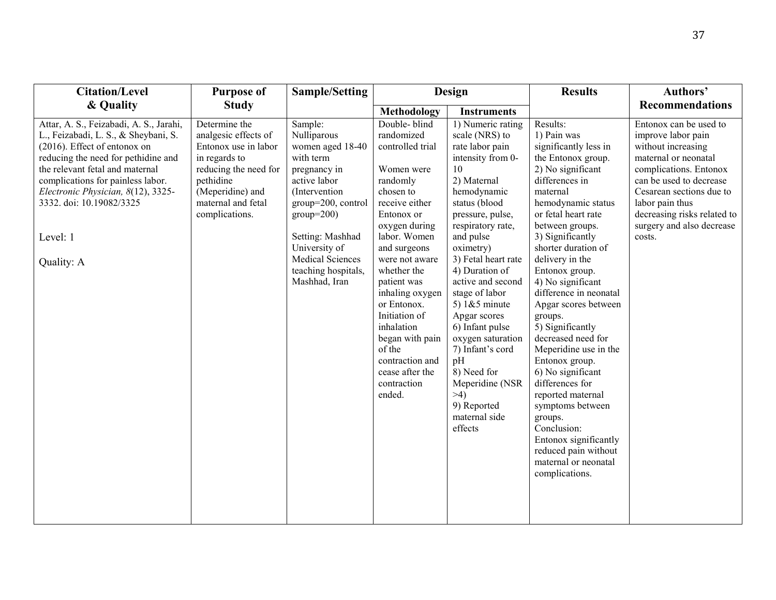| <b>Citation/Level</b>                                                                                                                                                                                                                                                                                                      | <b>Purpose of</b>                                                                                                                                                                | <b>Sample/Setting</b>                                                                                                                                                                                                                                  | Design                                                                                                                                                                                                                                                                                                                                                                              |                                                                                                                                                                                                                                                                                                                                                                                                                                                                              | <b>Results</b>                                                                                                                                                                                                                                                                                                                                                                                                                                                                                                                                                                                                                                         | Authors'                                                                                                                                                                                                                                                             |
|----------------------------------------------------------------------------------------------------------------------------------------------------------------------------------------------------------------------------------------------------------------------------------------------------------------------------|----------------------------------------------------------------------------------------------------------------------------------------------------------------------------------|--------------------------------------------------------------------------------------------------------------------------------------------------------------------------------------------------------------------------------------------------------|-------------------------------------------------------------------------------------------------------------------------------------------------------------------------------------------------------------------------------------------------------------------------------------------------------------------------------------------------------------------------------------|------------------------------------------------------------------------------------------------------------------------------------------------------------------------------------------------------------------------------------------------------------------------------------------------------------------------------------------------------------------------------------------------------------------------------------------------------------------------------|--------------------------------------------------------------------------------------------------------------------------------------------------------------------------------------------------------------------------------------------------------------------------------------------------------------------------------------------------------------------------------------------------------------------------------------------------------------------------------------------------------------------------------------------------------------------------------------------------------------------------------------------------------|----------------------------------------------------------------------------------------------------------------------------------------------------------------------------------------------------------------------------------------------------------------------|
| & Quality                                                                                                                                                                                                                                                                                                                  | <b>Study</b>                                                                                                                                                                     |                                                                                                                                                                                                                                                        | <b>Methodology</b>                                                                                                                                                                                                                                                                                                                                                                  | <b>Instruments</b>                                                                                                                                                                                                                                                                                                                                                                                                                                                           |                                                                                                                                                                                                                                                                                                                                                                                                                                                                                                                                                                                                                                                        | <b>Recommendations</b>                                                                                                                                                                                                                                               |
| Attar, A. S., Feizabadi, A. S., Jarahi,<br>L., Feizabadi, L. S., & Sheybani, S.<br>(2016). Effect of entonox on<br>reducing the need for pethidine and<br>the relevant fetal and maternal<br>complications for painless labor.<br>Electronic Physician, 8(12), 3325-<br>3332. doi: 10.19082/3325<br>Level: 1<br>Quality: A | Determine the<br>analgesic effects of<br>Entonox use in labor<br>in regards to<br>reducing the need for<br>pethidine<br>(Meperidine) and<br>maternal and fetal<br>complications. | Sample:<br>Nulliparous<br>women aged 18-40<br>with term<br>pregnancy in<br>active labor<br>(Intervention<br>group=200, control<br>$group=200)$<br>Setting: Mashhad<br>University of<br><b>Medical Sciences</b><br>teaching hospitals,<br>Mashhad, Iran | Double-blind<br>randomized<br>controlled trial<br>Women were<br>randomly<br>chosen to<br>receive either<br>Entonox or<br>oxygen during<br>labor. Women<br>and surgeons<br>were not aware<br>whether the<br>patient was<br>inhaling oxygen<br>or Entonox.<br>Initiation of<br>inhalation<br>began with pain<br>of the<br>contraction and<br>cease after the<br>contraction<br>ended. | 1) Numeric rating<br>scale (NRS) to<br>rate labor pain<br>intensity from 0-<br>10<br>2) Maternal<br>hemodynamic<br>status (blood<br>pressure, pulse,<br>respiratory rate,<br>and pulse<br>oximetry)<br>3) Fetal heart rate<br>4) Duration of<br>active and second<br>stage of labor<br>5) $1& 5$ minute<br>Apgar scores<br>6) Infant pulse<br>oxygen saturation<br>7) Infant's cord<br>pH<br>8) Need for<br>Meperidine (NSR<br>>4<br>9) Reported<br>maternal side<br>effects | Results:<br>1) Pain was<br>significantly less in<br>the Entonox group.<br>2) No significant<br>differences in<br>maternal<br>hemodynamic status<br>or fetal heart rate<br>between groups.<br>3) Significantly<br>shorter duration of<br>delivery in the<br>Entonox group.<br>4) No significant<br>difference in neonatal<br>Apgar scores between<br>groups.<br>5) Significantly<br>decreased need for<br>Meperidine use in the<br>Entonox group.<br>6) No significant<br>differences for<br>reported maternal<br>symptoms between<br>groups.<br>Conclusion:<br>Entonox significantly<br>reduced pain without<br>maternal or neonatal<br>complications. | Entonox can be used to<br>improve labor pain<br>without increasing<br>maternal or neonatal<br>complications. Entonox<br>can be used to decrease<br>Cesarean sections due to<br>labor pain thus<br>decreasing risks related to<br>surgery and also decrease<br>costs. |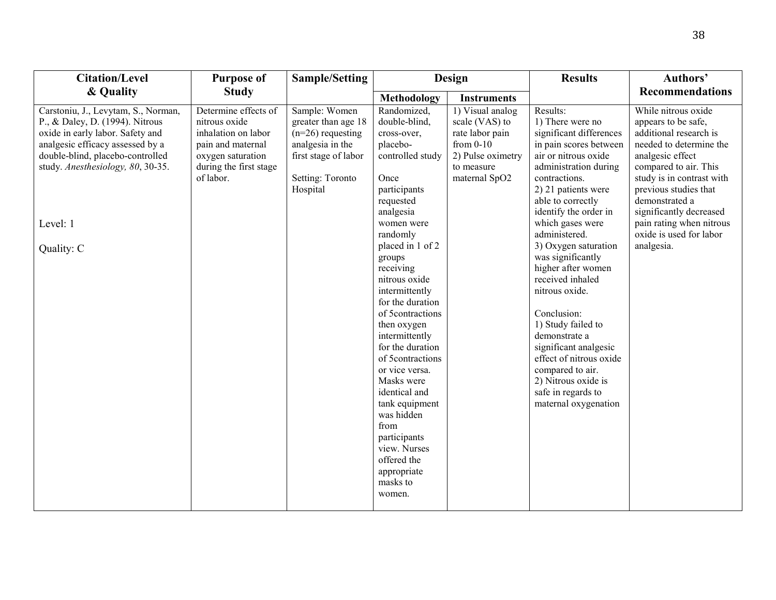| <b>Citation/Level</b>                                                                                                                                                                                                                             | <b>Purpose of</b>                                                                                                                             | <b>Sample/Setting</b>                                                                                                                   |                                                                                                                                                                                                                                                                                                                                                                                                                                                                                                                                     | Design                                                                                                                   |                                                                                                                                                                                                                                                                                                                                                                                                                                                                                                                                                                           | Authors'                                                                                                                                                                                                                                                                                                             |
|---------------------------------------------------------------------------------------------------------------------------------------------------------------------------------------------------------------------------------------------------|-----------------------------------------------------------------------------------------------------------------------------------------------|-----------------------------------------------------------------------------------------------------------------------------------------|-------------------------------------------------------------------------------------------------------------------------------------------------------------------------------------------------------------------------------------------------------------------------------------------------------------------------------------------------------------------------------------------------------------------------------------------------------------------------------------------------------------------------------------|--------------------------------------------------------------------------------------------------------------------------|---------------------------------------------------------------------------------------------------------------------------------------------------------------------------------------------------------------------------------------------------------------------------------------------------------------------------------------------------------------------------------------------------------------------------------------------------------------------------------------------------------------------------------------------------------------------------|----------------------------------------------------------------------------------------------------------------------------------------------------------------------------------------------------------------------------------------------------------------------------------------------------------------------|
| & Quality                                                                                                                                                                                                                                         | <b>Study</b>                                                                                                                                  |                                                                                                                                         | Methodology                                                                                                                                                                                                                                                                                                                                                                                                                                                                                                                         | <b>Instruments</b>                                                                                                       |                                                                                                                                                                                                                                                                                                                                                                                                                                                                                                                                                                           | <b>Recommendations</b>                                                                                                                                                                                                                                                                                               |
| Carstoniu, J., Levytam, S., Norman,<br>P., & Daley, D. (1994). Nitrous<br>oxide in early labor. Safety and<br>analgesic efficacy assessed by a<br>double-blind, placebo-controlled<br>study. Anesthesiology, 80, 30-35.<br>Level: 1<br>Quality: C | Determine effects of<br>nitrous oxide<br>inhalation on labor<br>pain and maternal<br>oxygen saturation<br>during the first stage<br>of labor. | Sample: Women<br>greater than age 18<br>$(n=26)$ requesting<br>analgesia in the<br>first stage of labor<br>Setting: Toronto<br>Hospital | Randomized,<br>double-blind,<br>cross-over,<br>placebo-<br>controlled study<br>Once<br>participants<br>requested<br>analgesia<br>women were<br>randomly<br>placed in 1 of 2<br>groups<br>receiving<br>nitrous oxide<br>intermittently<br>for the duration<br>of 5contractions<br>then oxygen<br>intermittently<br>for the duration<br>of 5contractions<br>or vice versa.<br>Masks were<br>identical and<br>tank equipment<br>was hidden<br>from<br>participants<br>view. Nurses<br>offered the<br>appropriate<br>masks to<br>women. | 1) Visual analog<br>scale (VAS) to<br>rate labor pain<br>from $0-10$<br>2) Pulse oximetry<br>to measure<br>maternal SpO2 | Results:<br>1) There were no<br>significant differences<br>in pain scores between<br>air or nitrous oxide<br>administration during<br>contractions.<br>2) 21 patients were<br>able to correctly<br>identify the order in<br>which gases were<br>administered.<br>3) Oxygen saturation<br>was significantly<br>higher after women<br>received inhaled<br>nitrous oxide.<br>Conclusion:<br>1) Study failed to<br>demonstrate a<br>significant analgesic<br>effect of nitrous oxide<br>compared to air.<br>2) Nitrous oxide is<br>safe in regards to<br>maternal oxygenation | While nitrous oxide<br>appears to be safe,<br>additional research is<br>needed to determine the<br>analgesic effect<br>compared to air. This<br>study is in contrast with<br>previous studies that<br>demonstrated a<br>significantly decreased<br>pain rating when nitrous<br>oxide is used for labor<br>analgesia. |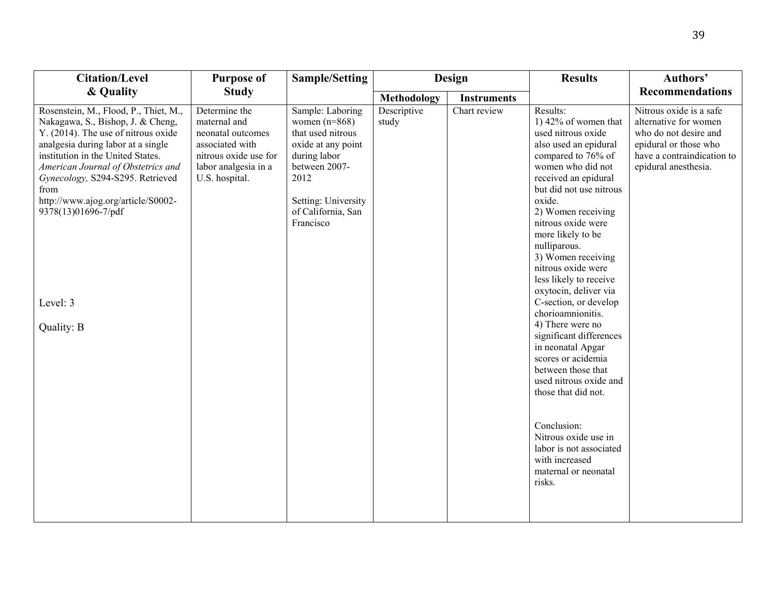| <b>Citation/Level</b>                                                                                                                                                                                                                                                                                                                                                 | <b>Purpose of</b>                                                                                                                        | <b>Sample/Setting</b>                                                                                                                                                             |                      | Design             | <b>Results</b>                                                                                                                                                                                                                                                                                                                                                                                                                                                                                                                                                                                                                                                                                                  | Authors'                                                                                                                                                 |
|-----------------------------------------------------------------------------------------------------------------------------------------------------------------------------------------------------------------------------------------------------------------------------------------------------------------------------------------------------------------------|------------------------------------------------------------------------------------------------------------------------------------------|-----------------------------------------------------------------------------------------------------------------------------------------------------------------------------------|----------------------|--------------------|-----------------------------------------------------------------------------------------------------------------------------------------------------------------------------------------------------------------------------------------------------------------------------------------------------------------------------------------------------------------------------------------------------------------------------------------------------------------------------------------------------------------------------------------------------------------------------------------------------------------------------------------------------------------------------------------------------------------|----------------------------------------------------------------------------------------------------------------------------------------------------------|
| & Quality                                                                                                                                                                                                                                                                                                                                                             | <b>Study</b>                                                                                                                             |                                                                                                                                                                                   | Methodology          | <b>Instruments</b> |                                                                                                                                                                                                                                                                                                                                                                                                                                                                                                                                                                                                                                                                                                                 | <b>Recommendations</b>                                                                                                                                   |
| Rosenstein, M., Flood, P., Thiet, M.,<br>Nakagawa, S., Bishop, J. & Cheng,<br>Y. (2014). The use of nitrous oxide<br>analgesia during labor at a single<br>institution in the United States.<br>American Journal of Obstetrics and<br>Gynecology, S294-S295. Retrieved<br>from<br>http://www.ajog.org/article/S0002-<br>9378(13)01696-7/pdf<br>Level: 3<br>Quality: B | Determine the<br>maternal and<br>neonatal outcomes<br>associated with<br>nitrous oxide use for<br>labor analgesia in a<br>U.S. hospital. | Sample: Laboring<br>women $(n=868)$<br>that used nitrous<br>oxide at any point<br>during labor<br>between 2007-<br>2012<br>Setting: University<br>of California, San<br>Francisco | Descriptive<br>study | Chart review       | Results:<br>1) $42\%$ of women that<br>used nitrous oxide<br>also used an epidural<br>compared to 76% of<br>women who did not<br>received an epidural<br>but did not use nitrous<br>oxide.<br>2) Women receiving<br>nitrous oxide were<br>more likely to be<br>nulliparous.<br>3) Women receiving<br>nitrous oxide were<br>less likely to receive<br>oxytocin, deliver via<br>C-section, or develop<br>chorioamnionitis.<br>4) There were no<br>significant differences<br>in neonatal Apgar<br>scores or acidemia<br>between those that<br>used nitrous oxide and<br>those that did not.<br>Conclusion:<br>Nitrous oxide use in<br>labor is not associated<br>with increased<br>maternal or neonatal<br>risks. | Nitrous oxide is a safe<br>alternative for women<br>who do not desire and<br>epidural or those who<br>have a contraindication to<br>epidural anesthesia. |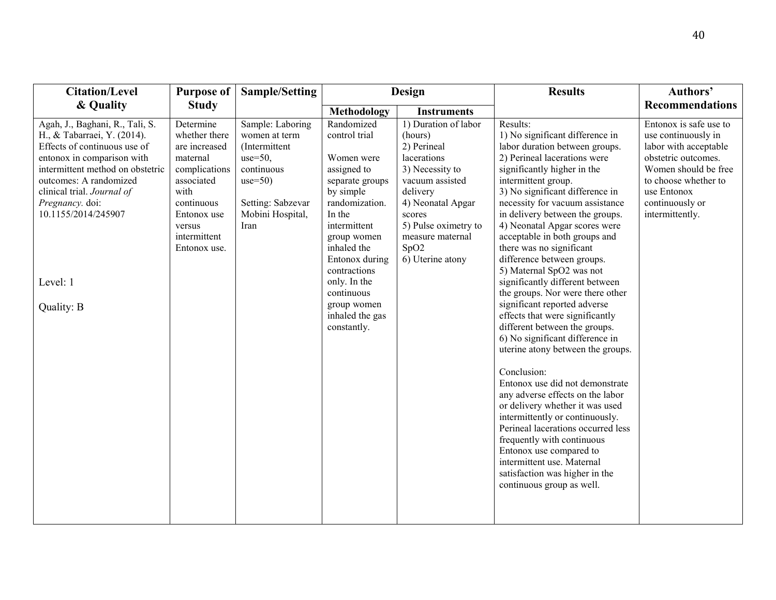| <b>Citation/Level</b>                                                                                                                                                                                                                                                                        | <b>Purpose of</b>                                                                                                                                                     | <b>Sample/Setting</b>                                                                                                                         |                                                                                                                                                                                                                                                                                     | Design                                                                                                                                                                                                                 | <b>Results</b>                                                                                                                                                                                                                                                                                                                                                                                                                                                                                                                                                                                                                                                                                                                                                                                                                                                                                                                                                                                                                                  | Authors'                                                                                                                                                                                           |
|----------------------------------------------------------------------------------------------------------------------------------------------------------------------------------------------------------------------------------------------------------------------------------------------|-----------------------------------------------------------------------------------------------------------------------------------------------------------------------|-----------------------------------------------------------------------------------------------------------------------------------------------|-------------------------------------------------------------------------------------------------------------------------------------------------------------------------------------------------------------------------------------------------------------------------------------|------------------------------------------------------------------------------------------------------------------------------------------------------------------------------------------------------------------------|-------------------------------------------------------------------------------------------------------------------------------------------------------------------------------------------------------------------------------------------------------------------------------------------------------------------------------------------------------------------------------------------------------------------------------------------------------------------------------------------------------------------------------------------------------------------------------------------------------------------------------------------------------------------------------------------------------------------------------------------------------------------------------------------------------------------------------------------------------------------------------------------------------------------------------------------------------------------------------------------------------------------------------------------------|----------------------------------------------------------------------------------------------------------------------------------------------------------------------------------------------------|
| & Quality                                                                                                                                                                                                                                                                                    | <b>Study</b>                                                                                                                                                          |                                                                                                                                               | Methodology                                                                                                                                                                                                                                                                         | <b>Instruments</b>                                                                                                                                                                                                     |                                                                                                                                                                                                                                                                                                                                                                                                                                                                                                                                                                                                                                                                                                                                                                                                                                                                                                                                                                                                                                                 | <b>Recommendations</b>                                                                                                                                                                             |
| Agah, J., Baghani, R., Tali, S.<br>H., & Tabarraei, Y. (2014).<br>Effects of continuous use of<br>entonox in comparison with<br>intermittent method on obstetric<br>outcomes: A randomized<br>clinical trial. Journal of<br>Pregnancy. doi:<br>10.1155/2014/245907<br>Level: 1<br>Quality: B | Determine<br>whether there<br>are increased<br>maternal<br>complications<br>associated<br>with<br>continuous<br>Entonox use<br>versus<br>intermittent<br>Entonox use. | Sample: Laboring<br>women at term<br>(Intermittent<br>$use=50$ ,<br>continuous<br>$use=50$ )<br>Setting: Sabzevar<br>Mobini Hospital,<br>Iran | Randomized<br>control trial<br>Women were<br>assigned to<br>separate groups<br>by simple<br>randomization.<br>In the<br>intermittent<br>group women<br>inhaled the<br>Entonox during<br>contractions<br>only. In the<br>continuous<br>group women<br>inhaled the gas<br>constantly. | 1) Duration of labor<br>(hours)<br>2) Perineal<br>lacerations<br>3) Necessity to<br>vacuum assisted<br>delivery<br>4) Neonatal Apgar<br>scores<br>5) Pulse oximetry to<br>measure maternal<br>SpO2<br>6) Uterine atony | Results:<br>1) No significant difference in<br>labor duration between groups.<br>2) Perineal lacerations were<br>significantly higher in the<br>intermittent group.<br>3) No significant difference in<br>necessity for vacuum assistance<br>in delivery between the groups.<br>4) Neonatal Apgar scores were<br>acceptable in both groups and<br>there was no significant<br>difference between groups.<br>5) Maternal SpO2 was not<br>significantly different between<br>the groups. Nor were there other<br>significant reported adverse<br>effects that were significantly<br>different between the groups.<br>6) No significant difference in<br>uterine atony between the groups.<br>Conclusion:<br>Entonox use did not demonstrate<br>any adverse effects on the labor<br>or delivery whether it was used<br>intermittently or continuously.<br>Perineal lacerations occurred less<br>frequently with continuous<br>Entonox use compared to<br>intermittent use. Maternal<br>satisfaction was higher in the<br>continuous group as well. | Entonox is safe use to<br>use continuously in<br>labor with acceptable<br>obstetric outcomes.<br>Women should be free<br>to choose whether to<br>use Entonox<br>continuously or<br>intermittently. |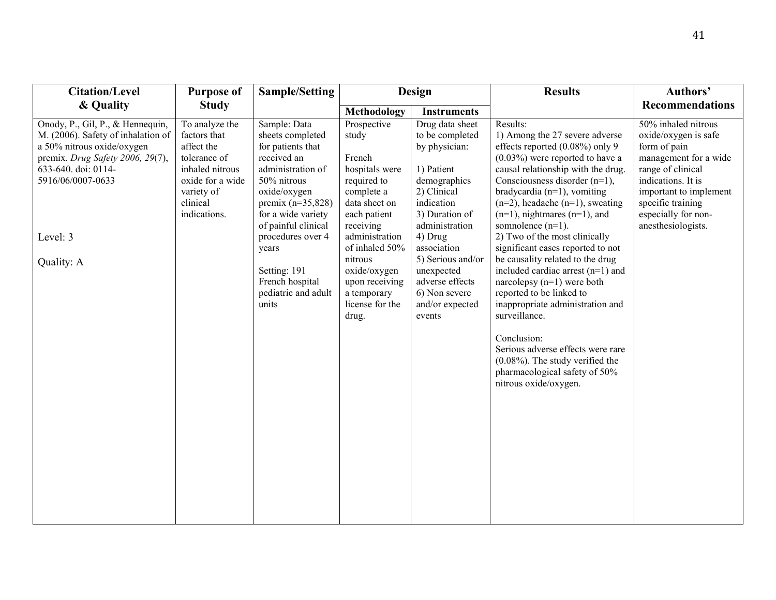| <b>Citation/Level</b>                                                                                                                                                                                          | <b>Purpose of</b>                                                                                                                             | <b>Sample/Setting</b>                                                                                                                                                                                                                                                                         |                                                                                                                                                                                                                                                         | Design                                                                                                                                                                                                                                                                           | <b>Results</b>                                                                                                                                                                                                                                                                                                                                                                                                                                                                                                                                                                                                                                                                                                                                              | Authors'                                                                                                                                                                                                                    |
|----------------------------------------------------------------------------------------------------------------------------------------------------------------------------------------------------------------|-----------------------------------------------------------------------------------------------------------------------------------------------|-----------------------------------------------------------------------------------------------------------------------------------------------------------------------------------------------------------------------------------------------------------------------------------------------|---------------------------------------------------------------------------------------------------------------------------------------------------------------------------------------------------------------------------------------------------------|----------------------------------------------------------------------------------------------------------------------------------------------------------------------------------------------------------------------------------------------------------------------------------|-------------------------------------------------------------------------------------------------------------------------------------------------------------------------------------------------------------------------------------------------------------------------------------------------------------------------------------------------------------------------------------------------------------------------------------------------------------------------------------------------------------------------------------------------------------------------------------------------------------------------------------------------------------------------------------------------------------------------------------------------------------|-----------------------------------------------------------------------------------------------------------------------------------------------------------------------------------------------------------------------------|
| & Quality                                                                                                                                                                                                      | <b>Study</b>                                                                                                                                  |                                                                                                                                                                                                                                                                                               | Methodology                                                                                                                                                                                                                                             | <b>Instruments</b>                                                                                                                                                                                                                                                               |                                                                                                                                                                                                                                                                                                                                                                                                                                                                                                                                                                                                                                                                                                                                                             | <b>Recommendations</b>                                                                                                                                                                                                      |
| Onody, P., Gil, P., & Hennequin,<br>M. (2006). Safety of inhalation of<br>a 50% nitrous oxide/oxygen<br>premix. Drug Safety 2006, 29(7),<br>633-640. doi: 0114-<br>5916/06/0007-0633<br>Level: 3<br>Quality: A | To analyze the<br>factors that<br>affect the<br>tolerance of<br>inhaled nitrous<br>oxide for a wide<br>variety of<br>clinical<br>indications. | Sample: Data<br>sheets completed<br>for patients that<br>received an<br>administration of<br>50% nitrous<br>oxide/oxygen<br>premix $(n=35,828)$<br>for a wide variety<br>of painful clinical<br>procedures over 4<br>years<br>Setting: 191<br>French hospital<br>pediatric and adult<br>units | Prospective<br>study<br>French<br>hospitals were<br>required to<br>complete a<br>data sheet on<br>each patient<br>receiving<br>administration<br>of inhaled 50%<br>nitrous<br>oxide/oxygen<br>upon receiving<br>a temporary<br>license for the<br>drug. | Drug data sheet<br>to be completed<br>by physician:<br>1) Patient<br>demographics<br>2) Clinical<br>indication<br>3) Duration of<br>administration<br>4) Drug<br>association<br>5) Serious and/or<br>unexpected<br>adverse effects<br>6) Non severe<br>and/or expected<br>events | Results:<br>1) Among the 27 severe adverse<br>effects reported (0.08%) only 9<br>$(0.03\%)$ were reported to have a<br>causal relationship with the drug.<br>Consciousness disorder $(n=1)$ ,<br>bradycardia $(n=1)$ , vomiting<br>$(n=2)$ , headache $(n=1)$ , sweating<br>$(n=1)$ , nightmares $(n=1)$ , and<br>somnolence $(n=1)$ .<br>2) Two of the most clinically<br>significant cases reported to not<br>be causality related to the drug<br>included cardiac arrest (n=1) and<br>narcolepsy $(n=1)$ were both<br>reported to be linked to<br>inappropriate administration and<br>surveillance.<br>Conclusion:<br>Serious adverse effects were rare<br>$(0.08\%)$ . The study verified the<br>pharmacological safety of 50%<br>nitrous oxide/oxygen. | 50% inhaled nitrous<br>oxide/oxygen is safe<br>form of pain<br>management for a wide<br>range of clinical<br>indications. It is<br>important to implement<br>specific training<br>especially for non-<br>anesthesiologists. |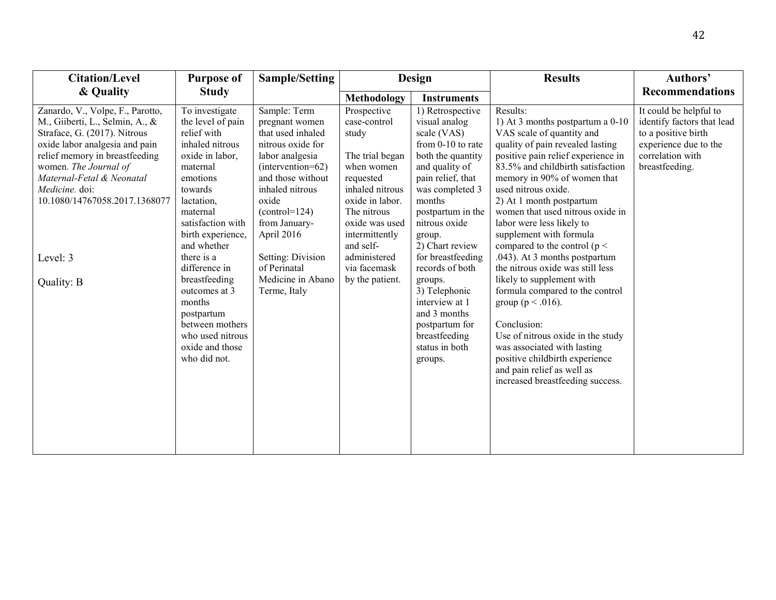| <b>Citation/Level</b>                                                                                                                                                                                                                                                            | <b>Purpose of</b>                                                                                                                                                                               | <b>Sample/Setting</b>                                                                                                                                                                                               |                                                                                                                                                                             | <b>Design</b>                                                                                                                                                                                                  | <b>Results</b>                                                                                                                                                                                                                                                                                                                                                                       | Authors'                                                                                                                                   |
|----------------------------------------------------------------------------------------------------------------------------------------------------------------------------------------------------------------------------------------------------------------------------------|-------------------------------------------------------------------------------------------------------------------------------------------------------------------------------------------------|---------------------------------------------------------------------------------------------------------------------------------------------------------------------------------------------------------------------|-----------------------------------------------------------------------------------------------------------------------------------------------------------------------------|----------------------------------------------------------------------------------------------------------------------------------------------------------------------------------------------------------------|--------------------------------------------------------------------------------------------------------------------------------------------------------------------------------------------------------------------------------------------------------------------------------------------------------------------------------------------------------------------------------------|--------------------------------------------------------------------------------------------------------------------------------------------|
| & Quality                                                                                                                                                                                                                                                                        | <b>Study</b>                                                                                                                                                                                    |                                                                                                                                                                                                                     | Methodology                                                                                                                                                                 | <b>Instruments</b>                                                                                                                                                                                             |                                                                                                                                                                                                                                                                                                                                                                                      | <b>Recommendations</b>                                                                                                                     |
| Zanardo, V., Volpe, F., Parotto,<br>M., Giiberti, L., Selmin, A., &<br>Straface, G. (2017). Nitrous<br>oxide labor analgesia and pain<br>relief memory in breastfeeding<br>women. The Journal of<br>Maternal-Fetal & Neonatal<br>Medicine. doi:<br>10.1080/14767058.2017.1368077 | To investigate<br>the level of pain<br>relief with<br>inhaled nitrous<br>oxide in labor,<br>maternal<br>emotions<br>towards<br>lactation,<br>maternal<br>satisfaction with<br>birth experience, | Sample: Term<br>pregnant women<br>that used inhaled<br>nitrous oxide for<br>labor analgesia<br>(intervention=62)<br>and those without<br>inhaled nitrous<br>oxide<br>$(control=124)$<br>from January-<br>April 2016 | Prospective<br>case-control<br>study<br>The trial began<br>when women<br>requested<br>inhaled nitrous<br>oxide in labor.<br>The nitrous<br>oxide was used<br>intermittently | 1) Retrospective<br>visual analog<br>scale (VAS)<br>from 0-10 to rate<br>both the quantity<br>and quality of<br>pain relief, that<br>was completed 3<br>months<br>postpartum in the<br>nitrous oxide<br>group. | Results:<br>1) At 3 months postpartum a 0-10<br>VAS scale of quantity and<br>quality of pain revealed lasting<br>positive pain relief experience in<br>83.5% and childbirth satisfaction<br>memory in 90% of women that<br>used nitrous oxide.<br>2) At 1 month postpartum<br>women that used nitrous oxide in<br>labor were less likely to<br>supplement with formula               | It could be helpful to<br>identify factors that lead<br>to a positive birth<br>experience due to the<br>correlation with<br>breastfeeding. |
| Level: 3<br>Quality: B                                                                                                                                                                                                                                                           | and whether<br>there is a<br>difference in<br>breastfeeding<br>outcomes at 3<br>months<br>postpartum<br>between mothers<br>who used nitrous<br>oxide and those<br>who did not.                  | Setting: Division<br>of Perinatal<br>Medicine in Abano<br>Terme, Italy                                                                                                                                              | and self-<br>administered<br>via facemask<br>by the patient.                                                                                                                | 2) Chart review<br>for breastfeeding<br>records of both<br>groups.<br>3) Telephonic<br>interview at 1<br>and 3 months<br>postpartum for<br>breastfeeding<br>status in both<br>groups.                          | compared to the control ( $p <$<br>.043). At 3 months postpartum<br>the nitrous oxide was still less<br>likely to supplement with<br>formula compared to the control<br>group ( $p < .016$ ).<br>Conclusion:<br>Use of nitrous oxide in the study<br>was associated with lasting<br>positive childbirth experience<br>and pain relief as well as<br>increased breastfeeding success. |                                                                                                                                            |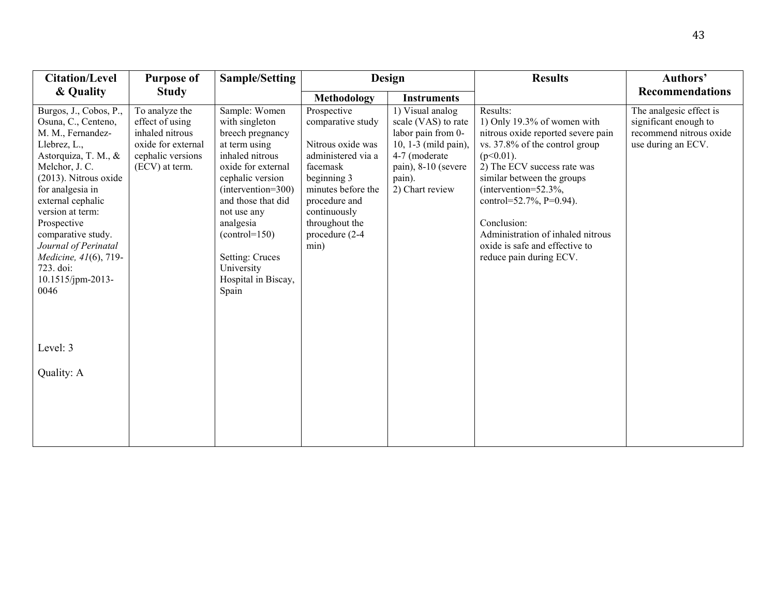| <b>Citation/Level</b>                                                                                                                                                                                                                                                                                                                              | <b>Purpose of</b>                                                                                                 | Sample/Setting                                                                                                                                                                                                                                                                                | <b>Design</b>                                                                                                                                                                                             |                                                                                                                                                            | <b>Results</b>                                                                                                                                                                                                                                                                                                                                                        | Authors'                                                                                          |
|----------------------------------------------------------------------------------------------------------------------------------------------------------------------------------------------------------------------------------------------------------------------------------------------------------------------------------------------------|-------------------------------------------------------------------------------------------------------------------|-----------------------------------------------------------------------------------------------------------------------------------------------------------------------------------------------------------------------------------------------------------------------------------------------|-----------------------------------------------------------------------------------------------------------------------------------------------------------------------------------------------------------|------------------------------------------------------------------------------------------------------------------------------------------------------------|-----------------------------------------------------------------------------------------------------------------------------------------------------------------------------------------------------------------------------------------------------------------------------------------------------------------------------------------------------------------------|---------------------------------------------------------------------------------------------------|
| & Quality                                                                                                                                                                                                                                                                                                                                          | <b>Study</b>                                                                                                      |                                                                                                                                                                                                                                                                                               | <b>Methodology</b>                                                                                                                                                                                        | <b>Instruments</b>                                                                                                                                         |                                                                                                                                                                                                                                                                                                                                                                       | <b>Recommendations</b>                                                                            |
| Burgos, J., Cobos, P.,<br>Osuna, C., Centeno,<br>M. M., Fernandez-<br>Llebrez, L.,<br>Astorquiza, T. M., &<br>Melchor, J. C.<br>(2013). Nitrous oxide<br>for analgesia in<br>external cephalic<br>version at term:<br>Prospective<br>comparative study.<br>Journal of Perinatal<br>Medicine, 41(6), 719-<br>723. doi:<br>10.1515/jpm-2013-<br>0046 | To analyze the<br>effect of using<br>inhaled nitrous<br>oxide for external<br>cephalic versions<br>(ECV) at term. | Sample: Women<br>with singleton<br>breech pregnancy<br>at term using<br>inhaled nitrous<br>oxide for external<br>cephalic version<br>(intervention=300)<br>and those that did<br>not use any<br>analgesia<br>$(control=150)$<br>Setting: Cruces<br>University<br>Hospital in Biscay,<br>Spain | Prospective<br>comparative study<br>Nitrous oxide was<br>administered via a<br>facemask<br>beginning 3<br>minutes before the<br>procedure and<br>continuously<br>throughout the<br>procedure (2-4<br>min) | 1) Visual analog<br>scale (VAS) to rate<br>labor pain from 0-<br>10, 1-3 (mild pain),<br>4-7 (moderate<br>pain), 8-10 (severe<br>pain).<br>2) Chart review | Results:<br>1) Only 19.3% of women with<br>nitrous oxide reported severe pain<br>vs. 37.8% of the control group<br>$(p<0.01)$ .<br>2) The ECV success rate was<br>similar between the groups<br>(intervention= $52.3\%$ )<br>control=52.7%, P=0.94).<br>Conclusion:<br>Administration of inhaled nitrous<br>oxide is safe and effective to<br>reduce pain during ECV. | The analgesic effect is<br>significant enough to<br>recommend nitrous oxide<br>use during an ECV. |
| Level: 3                                                                                                                                                                                                                                                                                                                                           |                                                                                                                   |                                                                                                                                                                                                                                                                                               |                                                                                                                                                                                                           |                                                                                                                                                            |                                                                                                                                                                                                                                                                                                                                                                       |                                                                                                   |
| Quality: A                                                                                                                                                                                                                                                                                                                                         |                                                                                                                   |                                                                                                                                                                                                                                                                                               |                                                                                                                                                                                                           |                                                                                                                                                            |                                                                                                                                                                                                                                                                                                                                                                       |                                                                                                   |
|                                                                                                                                                                                                                                                                                                                                                    |                                                                                                                   |                                                                                                                                                                                                                                                                                               |                                                                                                                                                                                                           |                                                                                                                                                            |                                                                                                                                                                                                                                                                                                                                                                       |                                                                                                   |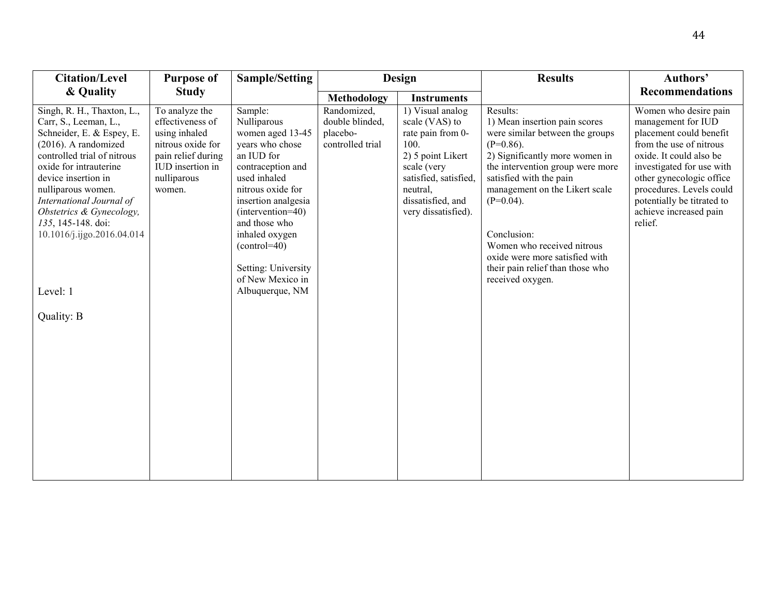| <b>Citation/Level</b>                                                                                                                                                                                                                                                                                                         | <b>Purpose of</b>                                                                                                                           | <b>Sample/Setting</b>                                                                                                                                                                                                                                                             |                                                                | Design                                                                                                                                                                               | <b>Results</b>                                                                                                                                                                                                                                                                                                                                                                         | Authors'                                                                                                                                                                                                                                                                             |
|-------------------------------------------------------------------------------------------------------------------------------------------------------------------------------------------------------------------------------------------------------------------------------------------------------------------------------|---------------------------------------------------------------------------------------------------------------------------------------------|-----------------------------------------------------------------------------------------------------------------------------------------------------------------------------------------------------------------------------------------------------------------------------------|----------------------------------------------------------------|--------------------------------------------------------------------------------------------------------------------------------------------------------------------------------------|----------------------------------------------------------------------------------------------------------------------------------------------------------------------------------------------------------------------------------------------------------------------------------------------------------------------------------------------------------------------------------------|--------------------------------------------------------------------------------------------------------------------------------------------------------------------------------------------------------------------------------------------------------------------------------------|
| & Quality                                                                                                                                                                                                                                                                                                                     | <b>Study</b>                                                                                                                                |                                                                                                                                                                                                                                                                                   | Methodology                                                    | <b>Instruments</b>                                                                                                                                                                   |                                                                                                                                                                                                                                                                                                                                                                                        | <b>Recommendations</b>                                                                                                                                                                                                                                                               |
| Singh, R. H., Thaxton, L.,<br>Carr, S., Leeman, L.,<br>Schneider, E. & Espey, E.<br>$(2016)$ . A randomized<br>controlled trial of nitrous<br>oxide for intrauterine<br>device insertion in<br>nulliparous women.<br>International Journal of<br>Obstetrics & Gynecology,<br>135, 145-148. doi:<br>10.1016/j.ijgo.2016.04.014 | To analyze the<br>effectiveness of<br>using inhaled<br>nitrous oxide for<br>pain relief during<br>IUD insertion in<br>nulliparous<br>women. | Sample:<br>Nulliparous<br>women aged 13-45<br>years who chose<br>an IUD for<br>contraception and<br>used inhaled<br>nitrous oxide for<br>insertion analgesia<br>(intervention=40)<br>and those who<br>inhaled oxygen<br>$(control=40)$<br>Setting: University<br>of New Mexico in | Randomized,<br>double blinded,<br>placebo-<br>controlled trial | 1) Visual analog<br>scale (VAS) to<br>rate pain from 0-<br>100.<br>2) 5 point Likert<br>scale (very<br>satisfied, satisfied,<br>neutral,<br>dissatisfied, and<br>very dissatisfied). | Results:<br>1) Mean insertion pain scores<br>were similar between the groups<br>$(P=0.86)$ .<br>2) Significantly more women in<br>the intervention group were more<br>satisfied with the pain<br>management on the Likert scale<br>$(P=0.04)$ .<br>Conclusion:<br>Women who received nitrous<br>oxide were more satisfied with<br>their pain relief than those who<br>received oxygen. | Women who desire pain<br>management for IUD<br>placement could benefit<br>from the use of nitrous<br>oxide. It could also be<br>investigated for use with<br>other gynecologic office<br>procedures. Levels could<br>potentially be titrated to<br>achieve increased pain<br>relief. |
| Level: 1                                                                                                                                                                                                                                                                                                                      |                                                                                                                                             | Albuquerque, NM                                                                                                                                                                                                                                                                   |                                                                |                                                                                                                                                                                      |                                                                                                                                                                                                                                                                                                                                                                                        |                                                                                                                                                                                                                                                                                      |
| Quality: B                                                                                                                                                                                                                                                                                                                    |                                                                                                                                             |                                                                                                                                                                                                                                                                                   |                                                                |                                                                                                                                                                                      |                                                                                                                                                                                                                                                                                                                                                                                        |                                                                                                                                                                                                                                                                                      |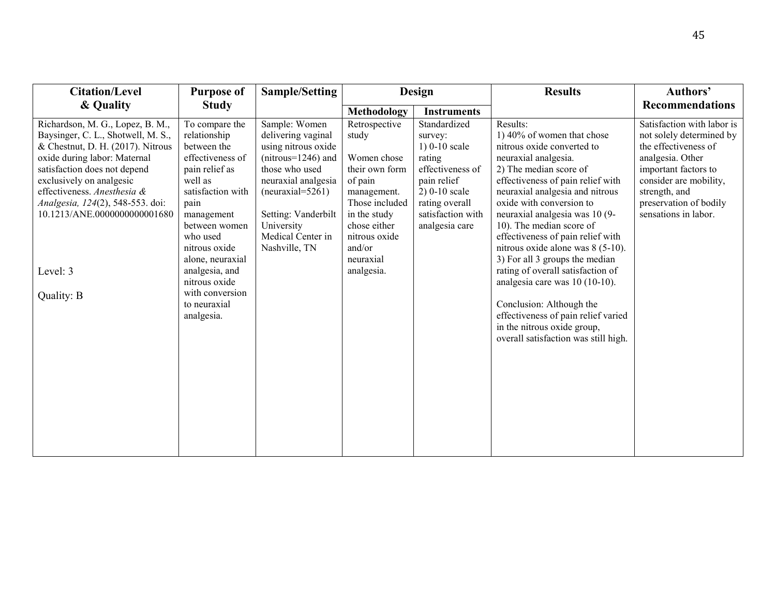| <b>Citation/Level</b>                                                                                                                                                                                                                                                                                                                | <b>Purpose of</b>                                                                                                                                                                                                                                                                               | <b>Sample/Setting</b>                                                                                                                                                                                                         |                                                                                                                                                                                           | <b>Design</b>                                                                                                                                                       | <b>Results</b>                                                                                                                                                                                                                                                                                                                                                                                                                                                                                                                                                                                                          | Authors'                                                                                                                                                                                                                |
|--------------------------------------------------------------------------------------------------------------------------------------------------------------------------------------------------------------------------------------------------------------------------------------------------------------------------------------|-------------------------------------------------------------------------------------------------------------------------------------------------------------------------------------------------------------------------------------------------------------------------------------------------|-------------------------------------------------------------------------------------------------------------------------------------------------------------------------------------------------------------------------------|-------------------------------------------------------------------------------------------------------------------------------------------------------------------------------------------|---------------------------------------------------------------------------------------------------------------------------------------------------------------------|-------------------------------------------------------------------------------------------------------------------------------------------------------------------------------------------------------------------------------------------------------------------------------------------------------------------------------------------------------------------------------------------------------------------------------------------------------------------------------------------------------------------------------------------------------------------------------------------------------------------------|-------------------------------------------------------------------------------------------------------------------------------------------------------------------------------------------------------------------------|
| & Quality                                                                                                                                                                                                                                                                                                                            | <b>Study</b>                                                                                                                                                                                                                                                                                    |                                                                                                                                                                                                                               | Methodology                                                                                                                                                                               | <b>Instruments</b>                                                                                                                                                  |                                                                                                                                                                                                                                                                                                                                                                                                                                                                                                                                                                                                                         | <b>Recommendations</b>                                                                                                                                                                                                  |
| Richardson, M. G., Lopez, B. M.,<br>Baysinger, C. L., Shotwell, M. S.,<br>& Chestnut, D. H. (2017). Nitrous<br>oxide during labor: Maternal<br>satisfaction does not depend<br>exclusively on analgesic<br>effectiveness. Anesthesia &<br>Analgesia, 124(2), 548-553. doi:<br>10.1213/ANE.0000000000001680<br>Level: 3<br>Quality: B | To compare the<br>relationship<br>between the<br>effectiveness of<br>pain relief as<br>well as<br>satisfaction with<br>pain<br>management<br>between women<br>who used<br>nitrous oxide<br>alone, neuraxial<br>analgesia, and<br>nitrous oxide<br>with conversion<br>to neuraxial<br>analgesia. | Sample: Women<br>delivering vaginal<br>using nitrous oxide<br>$(nitrous=1246)$ and<br>those who used<br>neuraxial analgesia<br>$(newaxial = 5261)$<br>Setting: Vanderbilt<br>University<br>Medical Center in<br>Nashville, TN | Retrospective<br>study<br>Women chose<br>their own form<br>of pain<br>management.<br>Those included<br>in the study<br>chose either<br>nitrous oxide<br>and/or<br>neuraxial<br>analgesia. | Standardized<br>survey:<br>$1) 0-10 scale$<br>rating<br>effectiveness of<br>pain relief<br>$2) 0-10 scale$<br>rating overall<br>satisfaction with<br>analgesia care | Results:<br>1) 40% of women that chose<br>nitrous oxide converted to<br>neuraxial analgesia.<br>2) The median score of<br>effectiveness of pain relief with<br>neuraxial analgesia and nitrous<br>oxide with conversion to<br>neuraxial analgesia was 10 (9-<br>10). The median score of<br>effectiveness of pain relief with<br>nitrous oxide alone was 8 (5-10).<br>3) For all 3 groups the median<br>rating of overall satisfaction of<br>analgesia care was $10(10-10)$ .<br>Conclusion: Although the<br>effectiveness of pain relief varied<br>in the nitrous oxide group,<br>overall satisfaction was still high. | Satisfaction with labor is<br>not solely determined by<br>the effectiveness of<br>analgesia. Other<br>important factors to<br>consider are mobility,<br>strength, and<br>preservation of bodily<br>sensations in labor. |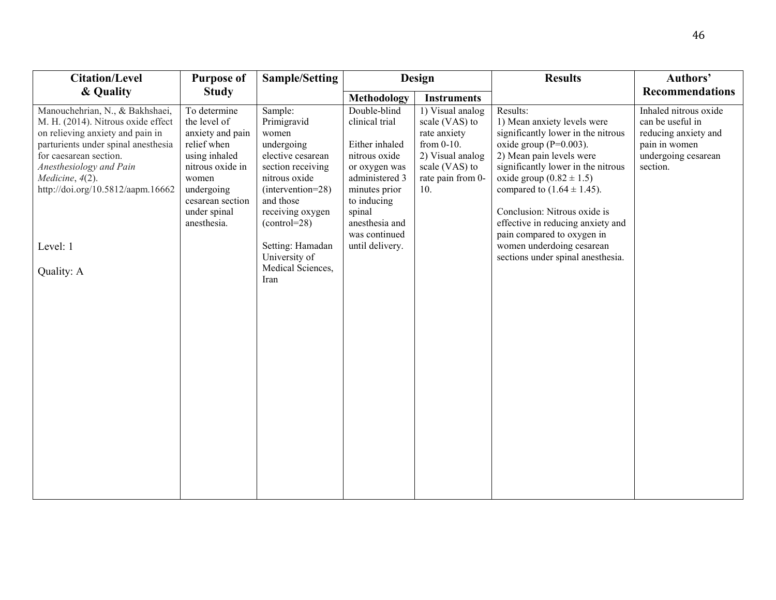| & Quality<br><b>Study</b><br>Methodology<br><b>Instruments</b><br>Double-blind<br>Manouchehrian, N., & Bakhshaei,<br>1) Visual analog<br>Results:<br>To determine<br>Sample:<br>clinical trial<br>M. H. (2014). Nitrous oxide effect<br>the level of<br>Primigravid<br>1) Mean anxiety levels were<br>scale (VAS) to<br>on relieving anxiety and pain in<br>significantly lower in the nitrous<br>anxiety and pain<br>women<br>rate anxiety<br>relief when<br>Either inhaled<br>from 0-10.                                                                                                                                                                                                                                                                                                                                                                                                                                                                                                                                                                                |                                                                                                                       |
|---------------------------------------------------------------------------------------------------------------------------------------------------------------------------------------------------------------------------------------------------------------------------------------------------------------------------------------------------------------------------------------------------------------------------------------------------------------------------------------------------------------------------------------------------------------------------------------------------------------------------------------------------------------------------------------------------------------------------------------------------------------------------------------------------------------------------------------------------------------------------------------------------------------------------------------------------------------------------------------------------------------------------------------------------------------------------|-----------------------------------------------------------------------------------------------------------------------|
|                                                                                                                                                                                                                                                                                                                                                                                                                                                                                                                                                                                                                                                                                                                                                                                                                                                                                                                                                                                                                                                                           | <b>Recommendations</b>                                                                                                |
| parturients under spinal anesthesia<br>oxide group $(P=0.003)$ .<br>undergoing<br>for caesarean section.<br>2) Mean pain levels were<br>using inhaled<br>elective cesarean<br>nitrous oxide<br>2) Visual analog<br>nitrous oxide in<br>significantly lower in the nitrous<br>Anesthesiology and Pain<br>section receiving<br>scale (VAS) to<br>or oxygen was<br>nitrous oxide<br>administered 3<br>rate pain from 0-<br>oxide group $(0.82 \pm 1.5)$<br>Medicine, 4(2).<br>women<br>http://doi.org/10.5812/aapm.16662<br>10.<br>undergoing<br>(intervention=28)<br>compared to $(1.64 \pm 1.45)$ .<br>minutes prior<br>and those<br>cesarean section<br>to inducing<br>Conclusion: Nitrous oxide is<br>receiving oxygen<br>spinal<br>under spinal<br>effective in reducing anxiety and<br>anesthesia and<br>anesthesia.<br>$(control=28)$<br>was continued<br>pain compared to oxygen in<br>until delivery.<br>women underdoing cesarean<br>Level: 1<br>Setting: Hamadan<br>University of<br>sections under spinal anesthesia.<br>Medical Sciences,<br>Quality: A<br>Iran | Inhaled nitrous oxide<br>can be useful in<br>reducing anxiety and<br>pain in women<br>undergoing cesarean<br>section. |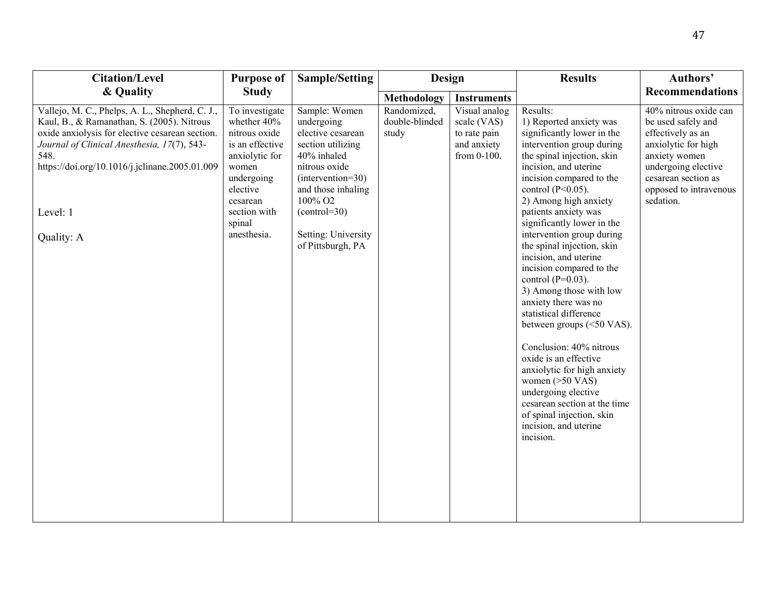| & Quality<br><b>Study</b><br>Methodology<br><b>Instruments</b><br>Vallejo, M. C., Phelps, A. L., Shepherd, C. J.,<br>Sample: Women<br>Results:<br>To investigate<br>Randomized,<br>Visual analog<br>double-blinded<br>Kaul, B., & Ramanathan, S. (2005). Nitrous<br>whether 40%<br>undergoing<br>scale (VAS)<br>1) Reported anxiety was<br>be used safely and<br>oxide anxiolysis for elective cesarean section.<br>significantly lower in the<br>effectively as an<br>nitrous oxide<br>elective cesarean<br>study<br>to rate pain<br>intervention group during<br>Journal of Clinical Anesthesia, 17(7), 543-<br>is an effective<br>section utilizing<br>and anxiety<br>anxiolytic for high<br>548.<br>anxiolytic for<br>40% inhaled<br>the spinal injection, skin<br>anxiety women<br>from 0-100.<br>https://doi.org/10.1016/j.jclinane.2005.01.009<br>undergoing elective<br>nitrous oxide<br>incision, and uterine<br>women<br>(intervention=30)<br>incision compared to the<br>cesarean section as<br>undergoing<br>and those inhaling<br>control $(P<0.05)$ .<br>elective<br>100% O <sub>2</sub><br>2) Among high anxiety<br>sedation.<br>cesarean<br>Level: 1<br>$(control=30)$<br>patients anxiety was<br>section with<br>significantly lower in the<br>spinal<br>intervention group during<br>anesthesia.<br>Setting: University<br>Quality: A<br>the spinal injection, skin<br>of Pittsburgh, PA<br>incision, and uterine<br>incision compared to the<br>control $(P=0.03)$ .<br>3) Among those with low<br>anxiety there was no<br>statistical difference<br>between groups (<50 VAS).<br>Conclusion: 40% nitrous<br>oxide is an effective<br>anxiolytic for high anxiety<br>women $(>50$ VAS)<br>undergoing elective<br>cesarean section at the time<br>of spinal injection, skin<br>incision, and uterine<br>incision. | <b>Citation/Level</b> | <b>Purpose of</b> | <b>Sample/Setting</b> | Design | <b>Results</b> | Authors'                                        |
|-------------------------------------------------------------------------------------------------------------------------------------------------------------------------------------------------------------------------------------------------------------------------------------------------------------------------------------------------------------------------------------------------------------------------------------------------------------------------------------------------------------------------------------------------------------------------------------------------------------------------------------------------------------------------------------------------------------------------------------------------------------------------------------------------------------------------------------------------------------------------------------------------------------------------------------------------------------------------------------------------------------------------------------------------------------------------------------------------------------------------------------------------------------------------------------------------------------------------------------------------------------------------------------------------------------------------------------------------------------------------------------------------------------------------------------------------------------------------------------------------------------------------------------------------------------------------------------------------------------------------------------------------------------------------------------------------------------------------------------------------------------------------------------------------------------------------------------|-----------------------|-------------------|-----------------------|--------|----------------|-------------------------------------------------|
|                                                                                                                                                                                                                                                                                                                                                                                                                                                                                                                                                                                                                                                                                                                                                                                                                                                                                                                                                                                                                                                                                                                                                                                                                                                                                                                                                                                                                                                                                                                                                                                                                                                                                                                                                                                                                                     |                       |                   |                       |        |                | <b>Recommendations</b>                          |
|                                                                                                                                                                                                                                                                                                                                                                                                                                                                                                                                                                                                                                                                                                                                                                                                                                                                                                                                                                                                                                                                                                                                                                                                                                                                                                                                                                                                                                                                                                                                                                                                                                                                                                                                                                                                                                     |                       |                   |                       |        |                | 40% nitrous oxide can<br>opposed to intravenous |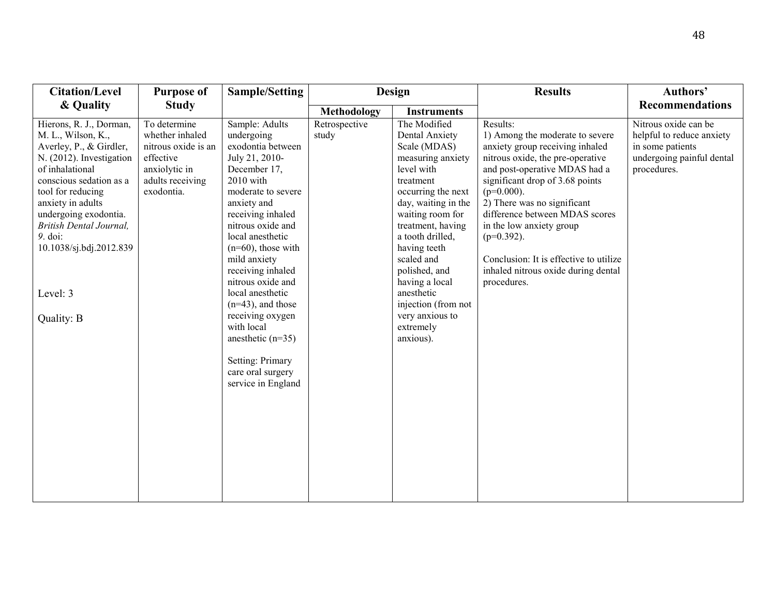| <b>Citation/Level</b>                                                                                                                                                                                                                                                                                            | <b>Purpose of</b>                                                                                                      | <b>Sample/Setting</b>                                                                                                                                                                                                                                                                                                                                                                                                                                      | <b>Design</b>          |                                                                                                                                                                                                                                                                                                                                                             | <b>Results</b>                                                                                                                                                                                                                                                                                                                                                                                                        |                                                                                                                   |  | Authors' |
|------------------------------------------------------------------------------------------------------------------------------------------------------------------------------------------------------------------------------------------------------------------------------------------------------------------|------------------------------------------------------------------------------------------------------------------------|------------------------------------------------------------------------------------------------------------------------------------------------------------------------------------------------------------------------------------------------------------------------------------------------------------------------------------------------------------------------------------------------------------------------------------------------------------|------------------------|-------------------------------------------------------------------------------------------------------------------------------------------------------------------------------------------------------------------------------------------------------------------------------------------------------------------------------------------------------------|-----------------------------------------------------------------------------------------------------------------------------------------------------------------------------------------------------------------------------------------------------------------------------------------------------------------------------------------------------------------------------------------------------------------------|-------------------------------------------------------------------------------------------------------------------|--|----------|
| & Quality                                                                                                                                                                                                                                                                                                        | <b>Study</b>                                                                                                           |                                                                                                                                                                                                                                                                                                                                                                                                                                                            | Methodology            | <b>Instruments</b>                                                                                                                                                                                                                                                                                                                                          |                                                                                                                                                                                                                                                                                                                                                                                                                       | <b>Recommendations</b>                                                                                            |  |          |
| Hierons, R. J., Dorman,<br>M. L., Wilson, K.,<br>Averley, P., & Girdler,<br>N. (2012). Investigation<br>of inhalational<br>conscious sedation as a<br>tool for reducing<br>anxiety in adults<br>undergoing exodontia.<br>British Dental Journal,<br>9. doi:<br>10.1038/sj.bdj.2012.839<br>Level: 3<br>Quality: B | To determine<br>whether inhaled<br>nitrous oxide is an<br>effective<br>anxiolytic in<br>adults receiving<br>exodontia. | Sample: Adults<br>undergoing<br>exodontia between<br>July 21, 2010-<br>December 17,<br>2010 with<br>moderate to severe<br>anxiety and<br>receiving inhaled<br>nitrous oxide and<br>local anesthetic<br>$(n=60)$ , those with<br>mild anxiety<br>receiving inhaled<br>nitrous oxide and<br>local anesthetic<br>$(n=43)$ , and those<br>receiving oxygen<br>with local<br>anesthetic $(n=35)$<br>Setting: Primary<br>care oral surgery<br>service in England | Retrospective<br>study | The Modified<br>Dental Anxiety<br>Scale (MDAS)<br>measuring anxiety<br>level with<br>treatment<br>occurring the next<br>day, waiting in the<br>waiting room for<br>treatment, having<br>a tooth drilled,<br>having teeth<br>scaled and<br>polished, and<br>having a local<br>anesthetic<br>injection (from not<br>very anxious to<br>extremely<br>anxious). | Results:<br>1) Among the moderate to severe<br>anxiety group receiving inhaled<br>nitrous oxide, the pre-operative<br>and post-operative MDAS had a<br>significant drop of 3.68 points<br>$(p=0.000)$ .<br>2) There was no significant<br>difference between MDAS scores<br>in the low anxiety group<br>$(p=0.392)$ .<br>Conclusion: It is effective to utilize<br>inhaled nitrous oxide during dental<br>procedures. | Nitrous oxide can be<br>helpful to reduce anxiety<br>in some patients<br>undergoing painful dental<br>procedures. |  |          |